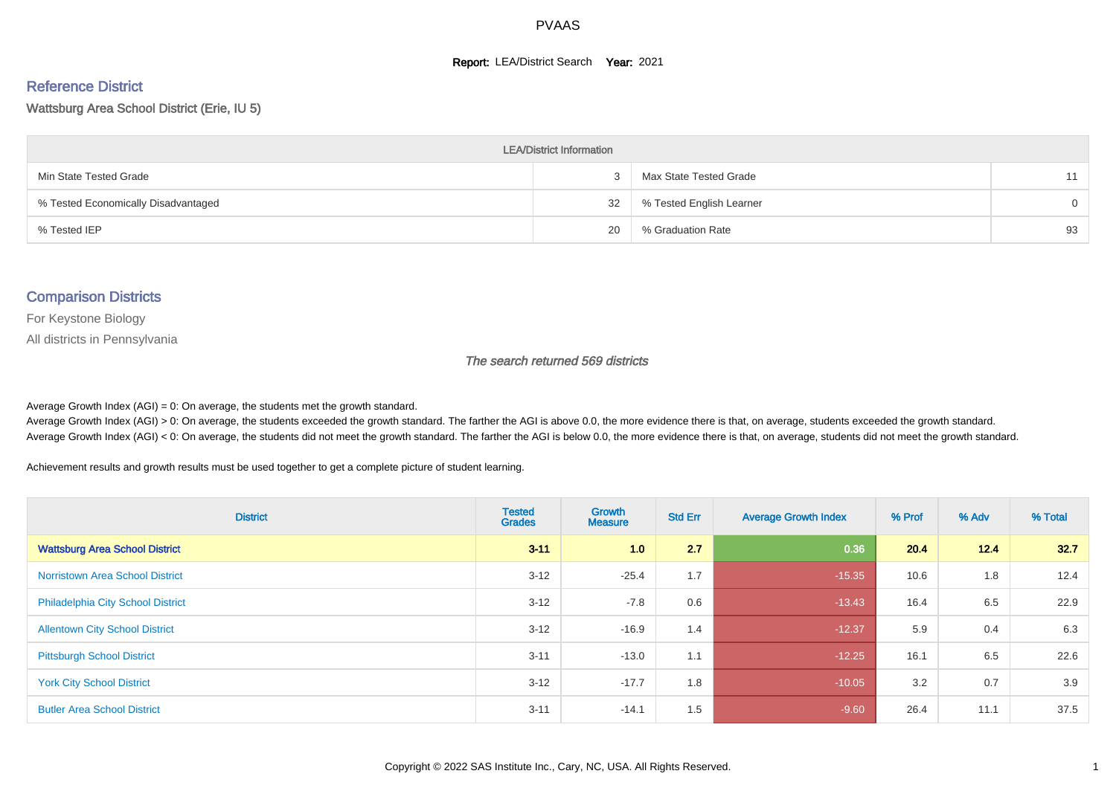#### **Report: LEA/District Search Year: 2021**

# Reference District

#### Wattsburg Area School District (Erie, IU 5)

| <b>LEA/District Information</b>     |    |                          |          |  |  |  |  |  |  |  |
|-------------------------------------|----|--------------------------|----------|--|--|--|--|--|--|--|
| Min State Tested Grade              |    | Max State Tested Grade   | 11       |  |  |  |  |  |  |  |
| % Tested Economically Disadvantaged | 32 | % Tested English Learner | $\Omega$ |  |  |  |  |  |  |  |
| % Tested IEP                        | 20 | % Graduation Rate        | 93       |  |  |  |  |  |  |  |

#### Comparison Districts

For Keystone Biology

All districts in Pennsylvania

The search returned 569 districts

Average Growth Index  $(AGI) = 0$ : On average, the students met the growth standard.

Average Growth Index (AGI) > 0: On average, the students exceeded the growth standard. The farther the AGI is above 0.0, the more evidence there is that, on average, students exceeded the growth standard. Average Growth Index (AGI) < 0: On average, the students did not meet the growth standard. The farther the AGI is below 0.0, the more evidence there is that, on average, students did not meet the growth standard.

Achievement results and growth results must be used together to get a complete picture of student learning.

| <b>District</b>                          | <b>Tested</b><br><b>Grades</b> | Growth<br><b>Measure</b> | <b>Std Err</b> | <b>Average Growth Index</b> | % Prof | % Adv | % Total |
|------------------------------------------|--------------------------------|--------------------------|----------------|-----------------------------|--------|-------|---------|
| <b>Wattsburg Area School District</b>    | $3 - 11$                       | 1.0                      | 2.7            | 0.36                        | 20.4   | 12.4  | 32.7    |
| <b>Norristown Area School District</b>   | $3 - 12$                       | $-25.4$                  | 1.7            | $-15.35$                    | 10.6   | 1.8   | 12.4    |
| <b>Philadelphia City School District</b> | $3 - 12$                       | $-7.8$                   | 0.6            | $-13.43$                    | 16.4   | 6.5   | 22.9    |
| <b>Allentown City School District</b>    | $3 - 12$                       | $-16.9$                  | 1.4            | $-12.37$                    | 5.9    | 0.4   | 6.3     |
| <b>Pittsburgh School District</b>        | $3 - 11$                       | $-13.0$                  | 1.1            | $-12.25$                    | 16.1   | 6.5   | 22.6    |
| <b>York City School District</b>         | $3 - 12$                       | $-17.7$                  | 1.8            | $-10.05$                    | 3.2    | 0.7   | 3.9     |
| <b>Butler Area School District</b>       | $3 - 11$                       | $-14.1$                  | 1.5            | $-9.60$                     | 26.4   | 11.1  | 37.5    |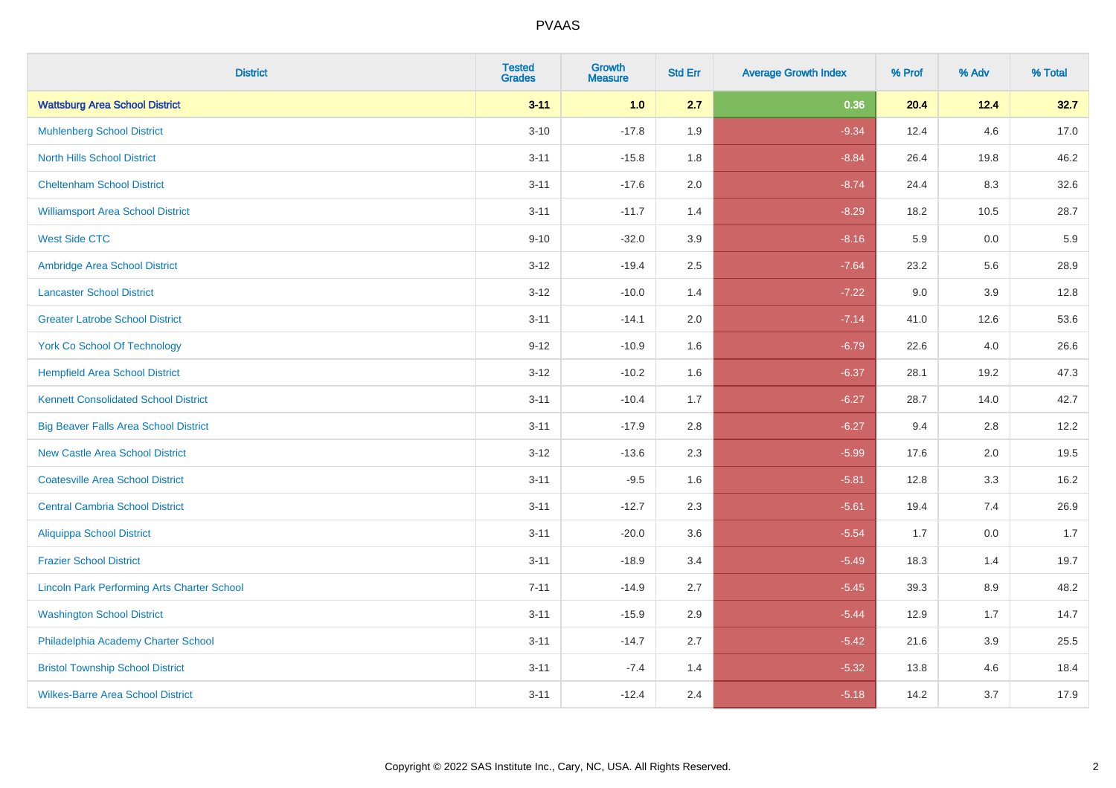| <b>District</b>                                    | <b>Tested</b><br><b>Grades</b> | <b>Growth</b><br><b>Measure</b> | <b>Std Err</b> | <b>Average Growth Index</b> | % Prof | % Adv   | % Total |
|----------------------------------------------------|--------------------------------|---------------------------------|----------------|-----------------------------|--------|---------|---------|
| <b>Wattsburg Area School District</b>              | $3 - 11$                       | 1.0                             | 2.7            | 0.36                        | 20.4   | 12.4    | 32.7    |
| <b>Muhlenberg School District</b>                  | $3 - 10$                       | $-17.8$                         | 1.9            | $-9.34$                     | 12.4   | 4.6     | 17.0    |
| <b>North Hills School District</b>                 | $3 - 11$                       | $-15.8$                         | 1.8            | $-8.84$                     | 26.4   | 19.8    | 46.2    |
| <b>Cheltenham School District</b>                  | $3 - 11$                       | $-17.6$                         | 2.0            | $-8.74$                     | 24.4   | 8.3     | 32.6    |
| <b>Williamsport Area School District</b>           | $3 - 11$                       | $-11.7$                         | 1.4            | $-8.29$                     | 18.2   | 10.5    | 28.7    |
| <b>West Side CTC</b>                               | $9 - 10$                       | $-32.0$                         | 3.9            | $-8.16$                     | 5.9    | 0.0     | 5.9     |
| Ambridge Area School District                      | $3 - 12$                       | $-19.4$                         | 2.5            | $-7.64$                     | 23.2   | 5.6     | 28.9    |
| <b>Lancaster School District</b>                   | $3 - 12$                       | $-10.0$                         | 1.4            | $-7.22$                     | 9.0    | 3.9     | 12.8    |
| <b>Greater Latrobe School District</b>             | $3 - 11$                       | $-14.1$                         | 2.0            | $-7.14$                     | 41.0   | 12.6    | 53.6    |
| <b>York Co School Of Technology</b>                | $9 - 12$                       | $-10.9$                         | 1.6            | $-6.79$                     | 22.6   | 4.0     | 26.6    |
| <b>Hempfield Area School District</b>              | $3 - 12$                       | $-10.2$                         | 1.6            | $-6.37$                     | 28.1   | 19.2    | 47.3    |
| <b>Kennett Consolidated School District</b>        | $3 - 11$                       | $-10.4$                         | 1.7            | $-6.27$                     | 28.7   | 14.0    | 42.7    |
| <b>Big Beaver Falls Area School District</b>       | $3 - 11$                       | $-17.9$                         | 2.8            | $-6.27$                     | 9.4    | 2.8     | 12.2    |
| <b>New Castle Area School District</b>             | $3 - 12$                       | $-13.6$                         | 2.3            | $-5.99$                     | 17.6   | 2.0     | 19.5    |
| <b>Coatesville Area School District</b>            | $3 - 11$                       | $-9.5$                          | 1.6            | $-5.81$                     | 12.8   | 3.3     | 16.2    |
| <b>Central Cambria School District</b>             | $3 - 11$                       | $-12.7$                         | 2.3            | $-5.61$                     | 19.4   | 7.4     | 26.9    |
| <b>Aliquippa School District</b>                   | $3 - 11$                       | $-20.0$                         | 3.6            | $-5.54$                     | 1.7    | 0.0     | 1.7     |
| <b>Frazier School District</b>                     | $3 - 11$                       | $-18.9$                         | 3.4            | $-5.49$                     | 18.3   | 1.4     | 19.7    |
| <b>Lincoln Park Performing Arts Charter School</b> | $7 - 11$                       | $-14.9$                         | 2.7            | $-5.45$                     | 39.3   | 8.9     | 48.2    |
| <b>Washington School District</b>                  | $3 - 11$                       | $-15.9$                         | 2.9            | $-5.44$                     | 12.9   | 1.7     | 14.7    |
| Philadelphia Academy Charter School                | $3 - 11$                       | $-14.7$                         | 2.7            | $-5.42$                     | 21.6   | $3.9\,$ | 25.5    |
| <b>Bristol Township School District</b>            | $3 - 11$                       | $-7.4$                          | 1.4            | $-5.32$                     | 13.8   | 4.6     | 18.4    |
| <b>Wilkes-Barre Area School District</b>           | $3 - 11$                       | $-12.4$                         | 2.4            | $-5.18$                     | 14.2   | 3.7     | 17.9    |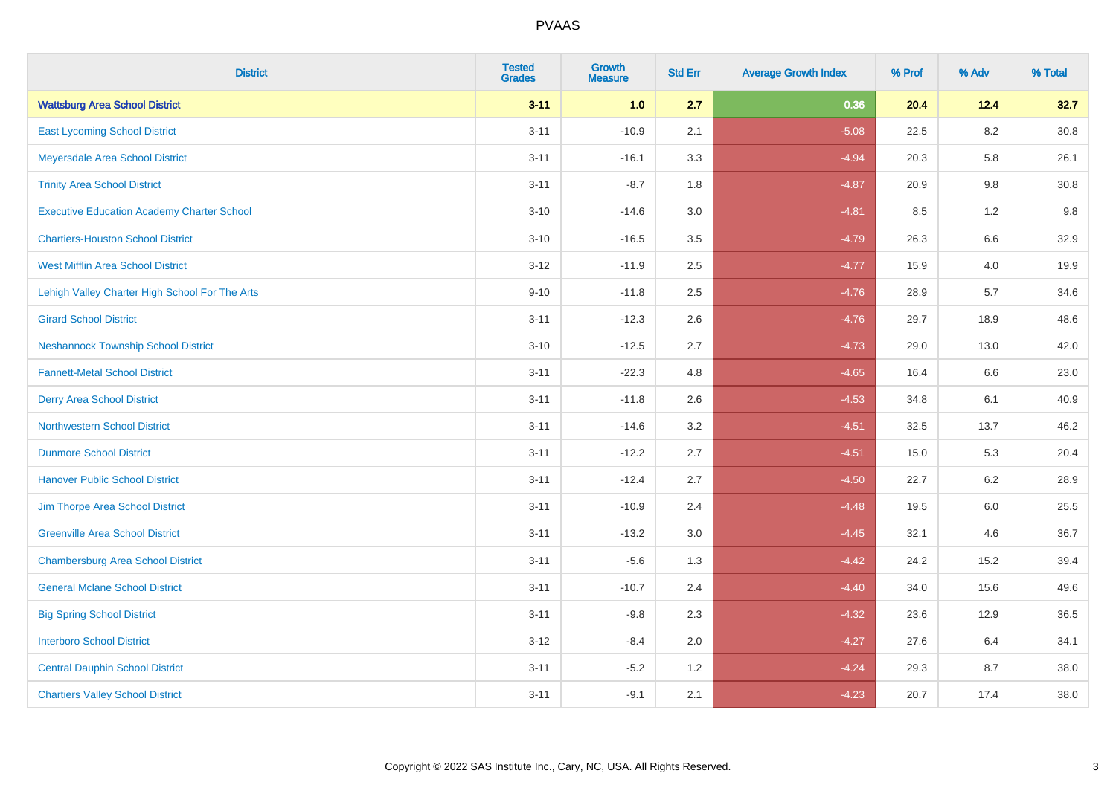| <b>District</b>                                   | <b>Tested</b><br><b>Grades</b> | <b>Growth</b><br><b>Measure</b> | <b>Std Err</b> | <b>Average Growth Index</b> | % Prof | % Adv   | % Total  |
|---------------------------------------------------|--------------------------------|---------------------------------|----------------|-----------------------------|--------|---------|----------|
| <b>Wattsburg Area School District</b>             | $3 - 11$                       | 1.0                             | 2.7            | 0.36                        | 20.4   | 12.4    | 32.7     |
| <b>East Lycoming School District</b>              | $3 - 11$                       | $-10.9$                         | 2.1            | $-5.08$                     | 22.5   | $8.2\,$ | $30.8\,$ |
| Meyersdale Area School District                   | $3 - 11$                       | $-16.1$                         | 3.3            | $-4.94$                     | 20.3   | 5.8     | 26.1     |
| <b>Trinity Area School District</b>               | $3 - 11$                       | $-8.7$                          | 1.8            | $-4.87$                     | 20.9   | 9.8     | 30.8     |
| <b>Executive Education Academy Charter School</b> | $3 - 10$                       | $-14.6$                         | 3.0            | $-4.81$                     | 8.5    | 1.2     | 9.8      |
| <b>Chartiers-Houston School District</b>          | $3 - 10$                       | $-16.5$                         | 3.5            | $-4.79$                     | 26.3   | 6.6     | 32.9     |
| <b>West Mifflin Area School District</b>          | $3 - 12$                       | $-11.9$                         | 2.5            | $-4.77$                     | 15.9   | 4.0     | 19.9     |
| Lehigh Valley Charter High School For The Arts    | $9 - 10$                       | $-11.8$                         | 2.5            | $-4.76$                     | 28.9   | 5.7     | 34.6     |
| <b>Girard School District</b>                     | $3 - 11$                       | $-12.3$                         | 2.6            | $-4.76$                     | 29.7   | 18.9    | 48.6     |
| <b>Neshannock Township School District</b>        | $3 - 10$                       | $-12.5$                         | 2.7            | $-4.73$                     | 29.0   | 13.0    | 42.0     |
| <b>Fannett-Metal School District</b>              | $3 - 11$                       | $-22.3$                         | 4.8            | $-4.65$                     | 16.4   | 6.6     | 23.0     |
| <b>Derry Area School District</b>                 | $3 - 11$                       | $-11.8$                         | 2.6            | $-4.53$                     | 34.8   | 6.1     | 40.9     |
| <b>Northwestern School District</b>               | $3 - 11$                       | $-14.6$                         | 3.2            | $-4.51$                     | 32.5   | 13.7    | 46.2     |
| <b>Dunmore School District</b>                    | $3 - 11$                       | $-12.2$                         | 2.7            | $-4.51$                     | 15.0   | 5.3     | 20.4     |
| <b>Hanover Public School District</b>             | $3 - 11$                       | $-12.4$                         | 2.7            | $-4.50$                     | 22.7   | 6.2     | 28.9     |
| Jim Thorpe Area School District                   | $3 - 11$                       | $-10.9$                         | 2.4            | $-4.48$                     | 19.5   | $6.0\,$ | 25.5     |
| <b>Greenville Area School District</b>            | $3 - 11$                       | $-13.2$                         | 3.0            | $-4.45$                     | 32.1   | 4.6     | 36.7     |
| <b>Chambersburg Area School District</b>          | $3 - 11$                       | $-5.6$                          | 1.3            | $-4.42$                     | 24.2   | 15.2    | 39.4     |
| <b>General Mclane School District</b>             | $3 - 11$                       | $-10.7$                         | 2.4            | $-4.40$                     | 34.0   | 15.6    | 49.6     |
| <b>Big Spring School District</b>                 | $3 - 11$                       | $-9.8$                          | 2.3            | $-4.32$                     | 23.6   | 12.9    | 36.5     |
| <b>Interboro School District</b>                  | $3 - 12$                       | $-8.4$                          | 2.0            | $-4.27$                     | 27.6   | 6.4     | 34.1     |
| <b>Central Dauphin School District</b>            | $3 - 11$                       | $-5.2$                          | 1.2            | $-4.24$                     | 29.3   | 8.7     | 38.0     |
| <b>Chartiers Valley School District</b>           | $3 - 11$                       | $-9.1$                          | 2.1            | $-4.23$                     | 20.7   | 17.4    | 38.0     |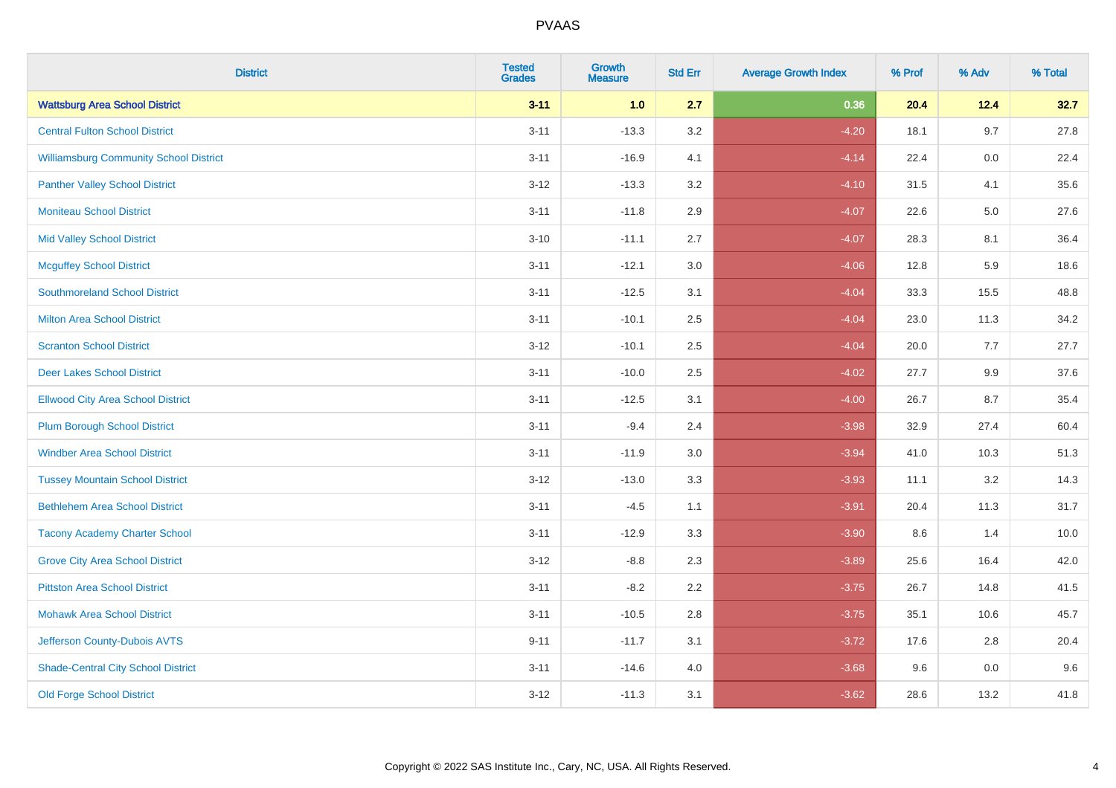| <b>District</b>                               | <b>Tested</b><br><b>Grades</b> | <b>Growth</b><br><b>Measure</b> | <b>Std Err</b> | <b>Average Growth Index</b> | % Prof | % Adv   | % Total |
|-----------------------------------------------|--------------------------------|---------------------------------|----------------|-----------------------------|--------|---------|---------|
| <b>Wattsburg Area School District</b>         | $3 - 11$                       | 1.0                             | 2.7            | 0.36                        | 20.4   | 12.4    | 32.7    |
| <b>Central Fulton School District</b>         | $3 - 11$                       | $-13.3$                         | 3.2            | $-4.20$                     | 18.1   | 9.7     | 27.8    |
| <b>Williamsburg Community School District</b> | $3 - 11$                       | $-16.9$                         | 4.1            | $-4.14$                     | 22.4   | 0.0     | 22.4    |
| <b>Panther Valley School District</b>         | $3 - 12$                       | $-13.3$                         | 3.2            | $-4.10$                     | 31.5   | 4.1     | 35.6    |
| <b>Moniteau School District</b>               | $3 - 11$                       | $-11.8$                         | 2.9            | $-4.07$                     | 22.6   | $5.0\,$ | 27.6    |
| <b>Mid Valley School District</b>             | $3 - 10$                       | $-11.1$                         | 2.7            | $-4.07$                     | 28.3   | 8.1     | 36.4    |
| <b>Mcguffey School District</b>               | $3 - 11$                       | $-12.1$                         | 3.0            | $-4.06$                     | 12.8   | 5.9     | 18.6    |
| <b>Southmoreland School District</b>          | $3 - 11$                       | $-12.5$                         | 3.1            | $-4.04$                     | 33.3   | 15.5    | 48.8    |
| <b>Milton Area School District</b>            | $3 - 11$                       | $-10.1$                         | 2.5            | $-4.04$                     | 23.0   | 11.3    | 34.2    |
| <b>Scranton School District</b>               | $3 - 12$                       | $-10.1$                         | 2.5            | $-4.04$                     | 20.0   | 7.7     | 27.7    |
| <b>Deer Lakes School District</b>             | $3 - 11$                       | $-10.0$                         | 2.5            | $-4.02$                     | 27.7   | 9.9     | 37.6    |
| <b>Ellwood City Area School District</b>      | $3 - 11$                       | $-12.5$                         | 3.1            | $-4.00$                     | 26.7   | 8.7     | 35.4    |
| <b>Plum Borough School District</b>           | $3 - 11$                       | $-9.4$                          | 2.4            | $-3.98$                     | 32.9   | 27.4    | 60.4    |
| <b>Windber Area School District</b>           | $3 - 11$                       | $-11.9$                         | 3.0            | $-3.94$                     | 41.0   | 10.3    | 51.3    |
| <b>Tussey Mountain School District</b>        | $3 - 12$                       | $-13.0$                         | 3.3            | $-3.93$                     | 11.1   | 3.2     | 14.3    |
| <b>Bethlehem Area School District</b>         | $3 - 11$                       | $-4.5$                          | 1.1            | $-3.91$                     | 20.4   | 11.3    | 31.7    |
| <b>Tacony Academy Charter School</b>          | $3 - 11$                       | $-12.9$                         | 3.3            | $-3.90$                     | 8.6    | 1.4     | 10.0    |
| <b>Grove City Area School District</b>        | $3 - 12$                       | $-8.8$                          | 2.3            | $-3.89$                     | 25.6   | 16.4    | 42.0    |
| <b>Pittston Area School District</b>          | $3 - 11$                       | $-8.2$                          | 2.2            | $-3.75$                     | 26.7   | 14.8    | 41.5    |
| <b>Mohawk Area School District</b>            | $3 - 11$                       | $-10.5$                         | 2.8            | $-3.75$                     | 35.1   | 10.6    | 45.7    |
| Jefferson County-Dubois AVTS                  | $9 - 11$                       | $-11.7$                         | 3.1            | $-3.72$                     | 17.6   | 2.8     | 20.4    |
| <b>Shade-Central City School District</b>     | $3 - 11$                       | $-14.6$                         | 4.0            | $-3.68$                     | 9.6    | 0.0     | 9.6     |
| <b>Old Forge School District</b>              | $3 - 12$                       | $-11.3$                         | 3.1            | $-3.62$                     | 28.6   | 13.2    | 41.8    |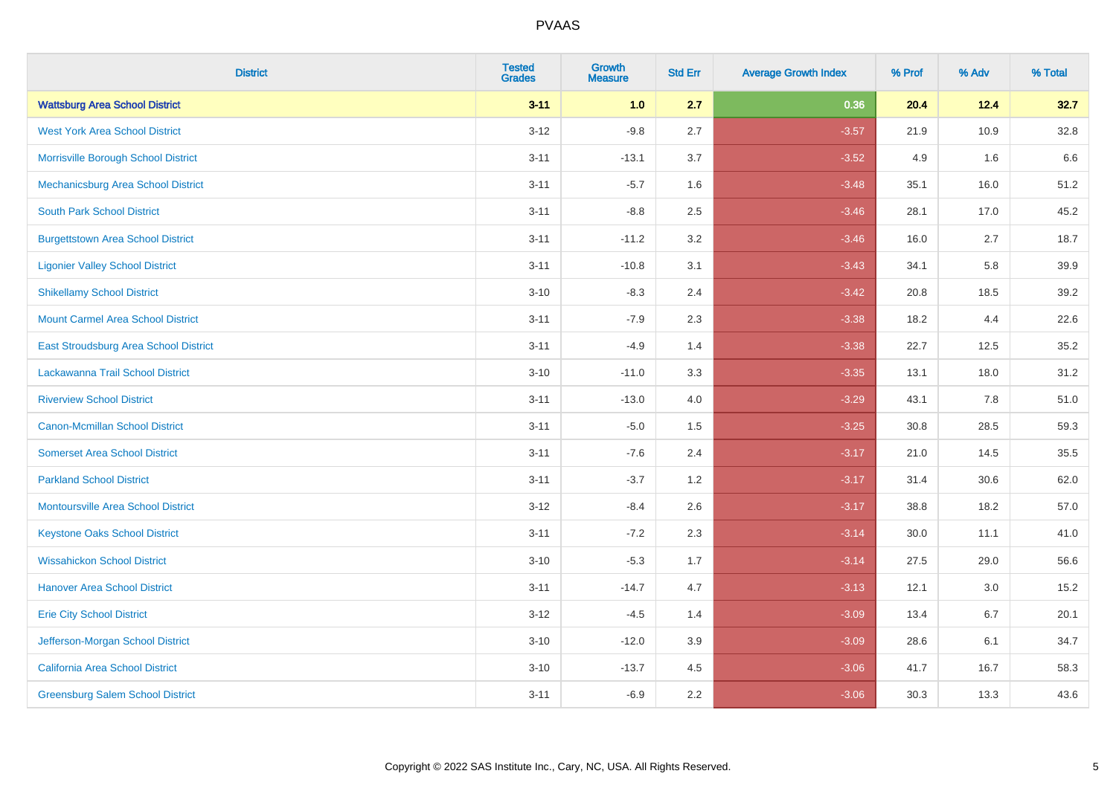| <b>District</b>                           | <b>Tested</b><br><b>Grades</b> | <b>Growth</b><br><b>Measure</b> | <b>Std Err</b> | <b>Average Growth Index</b> | % Prof | % Adv | % Total |
|-------------------------------------------|--------------------------------|---------------------------------|----------------|-----------------------------|--------|-------|---------|
| <b>Wattsburg Area School District</b>     | $3 - 11$                       | 1.0                             | 2.7            | 0.36                        | 20.4   | 12.4  | 32.7    |
| <b>West York Area School District</b>     | $3 - 12$                       | $-9.8$                          | 2.7            | $-3.57$                     | 21.9   | 10.9  | 32.8    |
| Morrisville Borough School District       | $3 - 11$                       | $-13.1$                         | 3.7            | $-3.52$                     | 4.9    | 1.6   | 6.6     |
| Mechanicsburg Area School District        | $3 - 11$                       | $-5.7$                          | 1.6            | $-3.48$                     | 35.1   | 16.0  | 51.2    |
| <b>South Park School District</b>         | $3 - 11$                       | $-8.8$                          | 2.5            | $-3.46$                     | 28.1   | 17.0  | 45.2    |
| <b>Burgettstown Area School District</b>  | $3 - 11$                       | $-11.2$                         | 3.2            | $-3.46$                     | 16.0   | 2.7   | 18.7    |
| <b>Ligonier Valley School District</b>    | $3 - 11$                       | $-10.8$                         | 3.1            | $-3.43$                     | 34.1   | 5.8   | 39.9    |
| <b>Shikellamy School District</b>         | $3 - 10$                       | $-8.3$                          | 2.4            | $-3.42$                     | 20.8   | 18.5  | 39.2    |
| <b>Mount Carmel Area School District</b>  | $3 - 11$                       | $-7.9$                          | 2.3            | $-3.38$                     | 18.2   | 4.4   | 22.6    |
| East Stroudsburg Area School District     | $3 - 11$                       | $-4.9$                          | 1.4            | $-3.38$                     | 22.7   | 12.5  | 35.2    |
| Lackawanna Trail School District          | $3 - 10$                       | $-11.0$                         | 3.3            | $-3.35$                     | 13.1   | 18.0  | 31.2    |
| <b>Riverview School District</b>          | $3 - 11$                       | $-13.0$                         | 4.0            | $-3.29$                     | 43.1   | 7.8   | 51.0    |
| Canon-Mcmillan School District            | $3 - 11$                       | $-5.0$                          | 1.5            | $-3.25$                     | 30.8   | 28.5  | 59.3    |
| <b>Somerset Area School District</b>      | $3 - 11$                       | $-7.6$                          | 2.4            | $-3.17$                     | 21.0   | 14.5  | 35.5    |
| <b>Parkland School District</b>           | $3 - 11$                       | $-3.7$                          | 1.2            | $-3.17$                     | 31.4   | 30.6  | 62.0    |
| <b>Montoursville Area School District</b> | $3 - 12$                       | $-8.4$                          | 2.6            | $-3.17$                     | 38.8   | 18.2  | 57.0    |
| <b>Keystone Oaks School District</b>      | $3 - 11$                       | $-7.2$                          | 2.3            | $-3.14$                     | 30.0   | 11.1  | 41.0    |
| <b>Wissahickon School District</b>        | $3 - 10$                       | $-5.3$                          | 1.7            | $-3.14$                     | 27.5   | 29.0  | 56.6    |
| <b>Hanover Area School District</b>       | $3 - 11$                       | $-14.7$                         | 4.7            | $-3.13$                     | 12.1   | 3.0   | 15.2    |
| <b>Erie City School District</b>          | $3 - 12$                       | $-4.5$                          | 1.4            | $-3.09$                     | 13.4   | 6.7   | 20.1    |
| Jefferson-Morgan School District          | $3 - 10$                       | $-12.0$                         | 3.9            | $-3.09$                     | 28.6   | 6.1   | 34.7    |
| California Area School District           | $3 - 10$                       | $-13.7$                         | 4.5            | $-3.06$                     | 41.7   | 16.7  | 58.3    |
| <b>Greensburg Salem School District</b>   | $3 - 11$                       | $-6.9$                          | 2.2            | $-3.06$                     | 30.3   | 13.3  | 43.6    |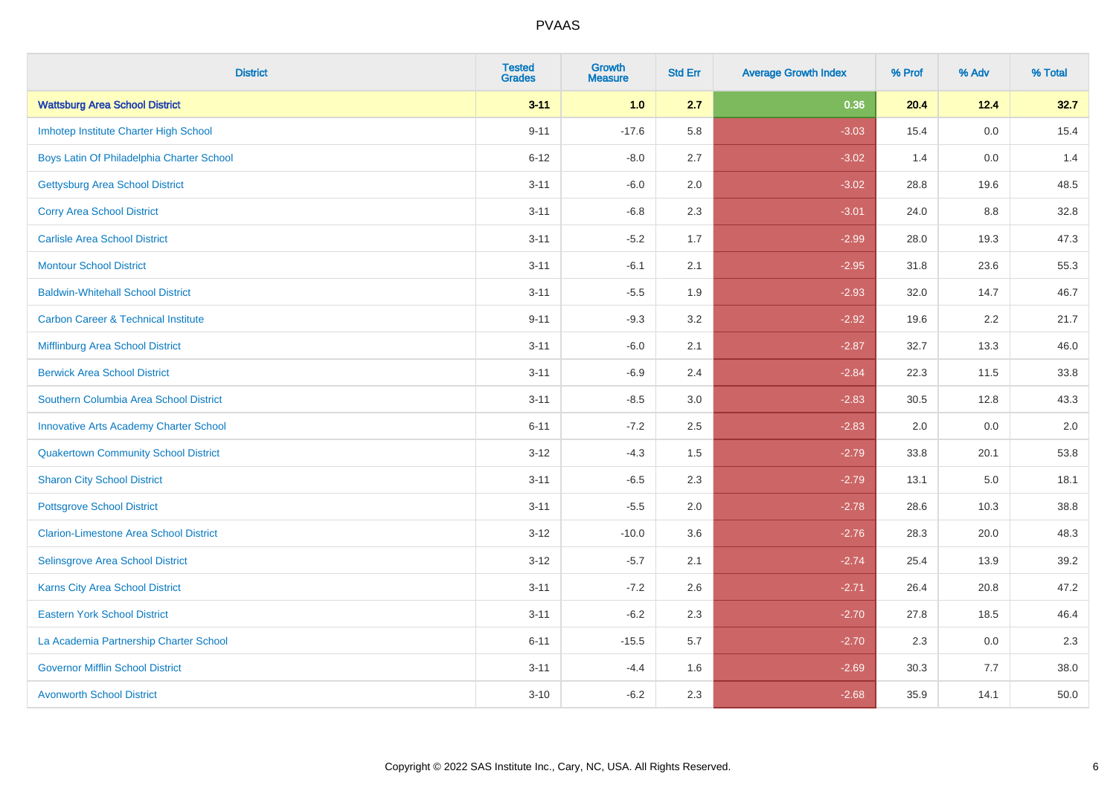| <b>District</b>                                | <b>Tested</b><br><b>Grades</b> | <b>Growth</b><br><b>Measure</b> | <b>Std Err</b> | <b>Average Growth Index</b> | % Prof | % Adv   | % Total |
|------------------------------------------------|--------------------------------|---------------------------------|----------------|-----------------------------|--------|---------|---------|
| <b>Wattsburg Area School District</b>          | $3 - 11$                       | 1.0                             | 2.7            | 0.36                        | 20.4   | 12.4    | 32.7    |
| Imhotep Institute Charter High School          | $9 - 11$                       | $-17.6$                         | 5.8            | $-3.03$                     | 15.4   | 0.0     | 15.4    |
| Boys Latin Of Philadelphia Charter School      | $6 - 12$                       | $-8.0$                          | 2.7            | $-3.02$                     | 1.4    | 0.0     | 1.4     |
| <b>Gettysburg Area School District</b>         | $3 - 11$                       | $-6.0$                          | 2.0            | $-3.02$                     | 28.8   | 19.6    | 48.5    |
| <b>Corry Area School District</b>              | $3 - 11$                       | $-6.8$                          | 2.3            | $-3.01$                     | 24.0   | 8.8     | 32.8    |
| <b>Carlisle Area School District</b>           | $3 - 11$                       | $-5.2$                          | 1.7            | $-2.99$                     | 28.0   | 19.3    | 47.3    |
| <b>Montour School District</b>                 | $3 - 11$                       | $-6.1$                          | 2.1            | $-2.95$                     | 31.8   | 23.6    | 55.3    |
| <b>Baldwin-Whitehall School District</b>       | $3 - 11$                       | $-5.5$                          | 1.9            | $-2.93$                     | 32.0   | 14.7    | 46.7    |
| <b>Carbon Career &amp; Technical Institute</b> | $9 - 11$                       | $-9.3$                          | 3.2            | $-2.92$                     | 19.6   | 2.2     | 21.7    |
| Mifflinburg Area School District               | $3 - 11$                       | $-6.0$                          | 2.1            | $-2.87$                     | 32.7   | 13.3    | 46.0    |
| <b>Berwick Area School District</b>            | $3 - 11$                       | $-6.9$                          | 2.4            | $-2.84$                     | 22.3   | 11.5    | 33.8    |
| Southern Columbia Area School District         | $3 - 11$                       | $-8.5$                          | 3.0            | $-2.83$                     | 30.5   | 12.8    | 43.3    |
| <b>Innovative Arts Academy Charter School</b>  | $6 - 11$                       | $-7.2$                          | 2.5            | $-2.83$                     | 2.0    | 0.0     | $2.0\,$ |
| <b>Quakertown Community School District</b>    | $3 - 12$                       | $-4.3$                          | $1.5$          | $-2.79$                     | 33.8   | 20.1    | 53.8    |
| <b>Sharon City School District</b>             | $3 - 11$                       | $-6.5$                          | 2.3            | $-2.79$                     | 13.1   | $5.0\,$ | 18.1    |
| <b>Pottsgrove School District</b>              | $3 - 11$                       | $-5.5$                          | 2.0            | $-2.78$                     | 28.6   | 10.3    | 38.8    |
| <b>Clarion-Limestone Area School District</b>  | $3 - 12$                       | $-10.0$                         | 3.6            | $-2.76$                     | 28.3   | 20.0    | 48.3    |
| Selinsgrove Area School District               | $3 - 12$                       | $-5.7$                          | 2.1            | $-2.74$                     | 25.4   | 13.9    | 39.2    |
| Karns City Area School District                | $3 - 11$                       | $-7.2$                          | 2.6            | $-2.71$                     | 26.4   | 20.8    | 47.2    |
| <b>Eastern York School District</b>            | $3 - 11$                       | $-6.2$                          | 2.3            | $-2.70$                     | 27.8   | 18.5    | 46.4    |
| La Academia Partnership Charter School         | $6 - 11$                       | $-15.5$                         | 5.7            | $-2.70$                     | 2.3    | 0.0     | 2.3     |
| <b>Governor Mifflin School District</b>        | $3 - 11$                       | $-4.4$                          | 1.6            | $-2.69$                     | 30.3   | 7.7     | 38.0    |
| <b>Avonworth School District</b>               | $3 - 10$                       | $-6.2$                          | 2.3            | $-2.68$                     | 35.9   | 14.1    | 50.0    |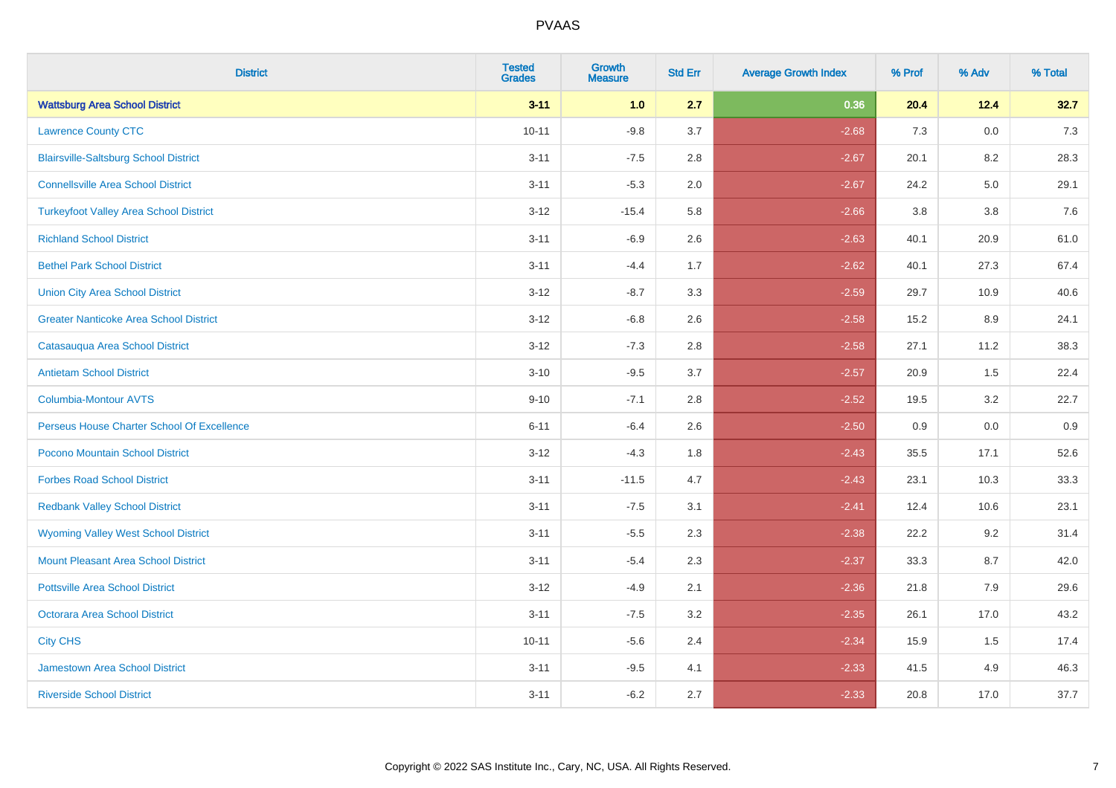| <b>District</b>                               | <b>Tested</b><br><b>Grades</b> | <b>Growth</b><br><b>Measure</b> | <b>Std Err</b> | <b>Average Growth Index</b> | % Prof | % Adv | % Total |
|-----------------------------------------------|--------------------------------|---------------------------------|----------------|-----------------------------|--------|-------|---------|
| <b>Wattsburg Area School District</b>         | $3 - 11$                       | 1.0                             | 2.7            | 0.36                        | 20.4   | 12.4  | 32.7    |
| <b>Lawrence County CTC</b>                    | $10 - 11$                      | $-9.8$                          | 3.7            | $-2.68$                     | 7.3    | 0.0   | $7.3$   |
| <b>Blairsville-Saltsburg School District</b>  | $3 - 11$                       | $-7.5$                          | 2.8            | $-2.67$                     | 20.1   | 8.2   | 28.3    |
| <b>Connellsville Area School District</b>     | $3 - 11$                       | $-5.3$                          | 2.0            | $-2.67$                     | 24.2   | 5.0   | 29.1    |
| <b>Turkeyfoot Valley Area School District</b> | $3 - 12$                       | $-15.4$                         | 5.8            | $-2.66$                     | 3.8    | 3.8   | 7.6     |
| <b>Richland School District</b>               | $3 - 11$                       | $-6.9$                          | 2.6            | $-2.63$                     | 40.1   | 20.9  | 61.0    |
| <b>Bethel Park School District</b>            | $3 - 11$                       | $-4.4$                          | 1.7            | $-2.62$                     | 40.1   | 27.3  | 67.4    |
| <b>Union City Area School District</b>        | $3 - 12$                       | $-8.7$                          | 3.3            | $-2.59$                     | 29.7   | 10.9  | 40.6    |
| <b>Greater Nanticoke Area School District</b> | $3 - 12$                       | $-6.8$                          | 2.6            | $-2.58$                     | 15.2   | 8.9   | 24.1    |
| Catasauqua Area School District               | $3 - 12$                       | $-7.3$                          | 2.8            | $-2.58$                     | 27.1   | 11.2  | 38.3    |
| <b>Antietam School District</b>               | $3 - 10$                       | $-9.5$                          | 3.7            | $-2.57$                     | 20.9   | 1.5   | 22.4    |
| Columbia-Montour AVTS                         | $9 - 10$                       | $-7.1$                          | 2.8            | $-2.52$                     | 19.5   | 3.2   | 22.7    |
| Perseus House Charter School Of Excellence    | $6 - 11$                       | $-6.4$                          | 2.6            | $-2.50$                     | 0.9    | 0.0   | 0.9     |
| Pocono Mountain School District               | $3 - 12$                       | $-4.3$                          | 1.8            | $-2.43$                     | 35.5   | 17.1  | 52.6    |
| <b>Forbes Road School District</b>            | $3 - 11$                       | $-11.5$                         | 4.7            | $-2.43$                     | 23.1   | 10.3  | 33.3    |
| <b>Redbank Valley School District</b>         | $3 - 11$                       | $-7.5$                          | 3.1            | $-2.41$                     | 12.4   | 10.6  | 23.1    |
| <b>Wyoming Valley West School District</b>    | $3 - 11$                       | $-5.5$                          | 2.3            | $-2.38$                     | 22.2   | 9.2   | 31.4    |
| Mount Pleasant Area School District           | $3 - 11$                       | $-5.4$                          | 2.3            | $-2.37$                     | 33.3   | 8.7   | 42.0    |
| <b>Pottsville Area School District</b>        | $3 - 12$                       | $-4.9$                          | 2.1            | $-2.36$                     | 21.8   | 7.9   | 29.6    |
| Octorara Area School District                 | $3 - 11$                       | $-7.5$                          | 3.2            | $-2.35$                     | 26.1   | 17.0  | 43.2    |
| <b>City CHS</b>                               | $10 - 11$                      | $-5.6$                          | 2.4            | $-2.34$                     | 15.9   | 1.5   | 17.4    |
| <b>Jamestown Area School District</b>         | $3 - 11$                       | $-9.5$                          | 4.1            | $-2.33$                     | 41.5   | 4.9   | 46.3    |
| <b>Riverside School District</b>              | $3 - 11$                       | $-6.2$                          | 2.7            | $-2.33$                     | 20.8   | 17.0  | 37.7    |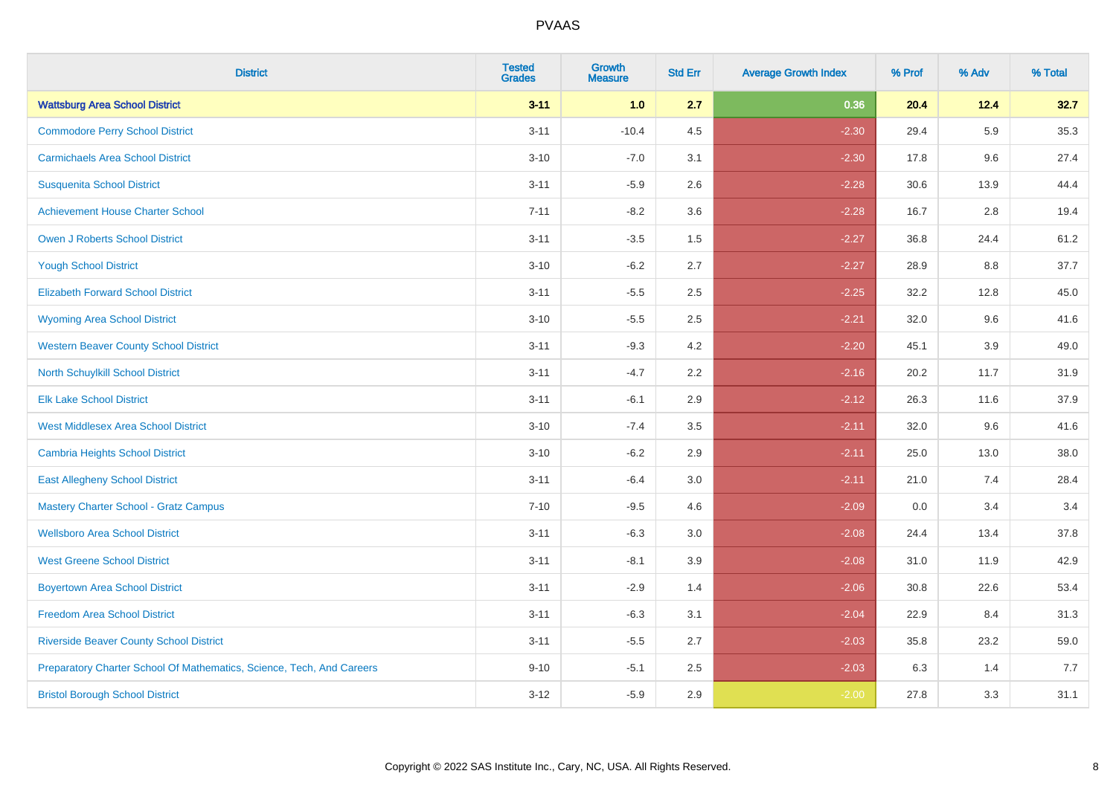| <b>District</b>                                                       | <b>Tested</b><br><b>Grades</b> | <b>Growth</b><br><b>Measure</b> | <b>Std Err</b> | <b>Average Growth Index</b> | % Prof | % Adv   | % Total |
|-----------------------------------------------------------------------|--------------------------------|---------------------------------|----------------|-----------------------------|--------|---------|---------|
| <b>Wattsburg Area School District</b>                                 | $3 - 11$                       | 1.0                             | 2.7            | 0.36                        | 20.4   | 12.4    | 32.7    |
| <b>Commodore Perry School District</b>                                | $3 - 11$                       | $-10.4$                         | 4.5            | $-2.30$                     | 29.4   | 5.9     | 35.3    |
| <b>Carmichaels Area School District</b>                               | $3 - 10$                       | $-7.0$                          | 3.1            | $-2.30$                     | 17.8   | 9.6     | 27.4    |
| <b>Susquenita School District</b>                                     | $3 - 11$                       | $-5.9$                          | 2.6            | $-2.28$                     | 30.6   | 13.9    | 44.4    |
| <b>Achievement House Charter School</b>                               | $7 - 11$                       | $-8.2$                          | 3.6            | $-2.28$                     | 16.7   | 2.8     | 19.4    |
| <b>Owen J Roberts School District</b>                                 | $3 - 11$                       | $-3.5$                          | 1.5            | $-2.27$                     | 36.8   | 24.4    | 61.2    |
| <b>Yough School District</b>                                          | $3 - 10$                       | $-6.2$                          | 2.7            | $-2.27$                     | 28.9   | $8.8\,$ | 37.7    |
| <b>Elizabeth Forward School District</b>                              | $3 - 11$                       | $-5.5$                          | 2.5            | $-2.25$                     | 32.2   | 12.8    | 45.0    |
| <b>Wyoming Area School District</b>                                   | $3 - 10$                       | $-5.5$                          | 2.5            | $-2.21$                     | 32.0   | 9.6     | 41.6    |
| <b>Western Beaver County School District</b>                          | $3 - 11$                       | $-9.3$                          | 4.2            | $-2.20$                     | 45.1   | 3.9     | 49.0    |
| North Schuylkill School District                                      | $3 - 11$                       | $-4.7$                          | 2.2            | $-2.16$                     | 20.2   | 11.7    | 31.9    |
| <b>Elk Lake School District</b>                                       | $3 - 11$                       | $-6.1$                          | 2.9            | $-2.12$                     | 26.3   | 11.6    | 37.9    |
| <b>West Middlesex Area School District</b>                            | $3 - 10$                       | $-7.4$                          | $3.5\,$        | $-2.11$                     | 32.0   | 9.6     | 41.6    |
| Cambria Heights School District                                       | $3 - 10$                       | $-6.2$                          | 2.9            | $-2.11$                     | 25.0   | 13.0    | 38.0    |
| <b>East Allegheny School District</b>                                 | $3 - 11$                       | $-6.4$                          | 3.0            | $-2.11$                     | 21.0   | 7.4     | 28.4    |
| <b>Mastery Charter School - Gratz Campus</b>                          | $7 - 10$                       | $-9.5$                          | 4.6            | $-2.09$                     | 0.0    | 3.4     | 3.4     |
| <b>Wellsboro Area School District</b>                                 | $3 - 11$                       | $-6.3$                          | 3.0            | $-2.08$                     | 24.4   | 13.4    | 37.8    |
| <b>West Greene School District</b>                                    | $3 - 11$                       | $-8.1$                          | 3.9            | $-2.08$                     | 31.0   | 11.9    | 42.9    |
| <b>Boyertown Area School District</b>                                 | $3 - 11$                       | $-2.9$                          | 1.4            | $-2.06$                     | 30.8   | 22.6    | 53.4    |
| <b>Freedom Area School District</b>                                   | $3 - 11$                       | $-6.3$                          | 3.1            | $-2.04$                     | 22.9   | 8.4     | 31.3    |
| <b>Riverside Beaver County School District</b>                        | $3 - 11$                       | $-5.5$                          | 2.7            | $-2.03$                     | 35.8   | 23.2    | 59.0    |
| Preparatory Charter School Of Mathematics, Science, Tech, And Careers | $9 - 10$                       | $-5.1$                          | 2.5            | $-2.03$                     | 6.3    | 1.4     | 7.7     |
| <b>Bristol Borough School District</b>                                | $3 - 12$                       | $-5.9$                          | 2.9            | $-2.00$                     | 27.8   | 3.3     | 31.1    |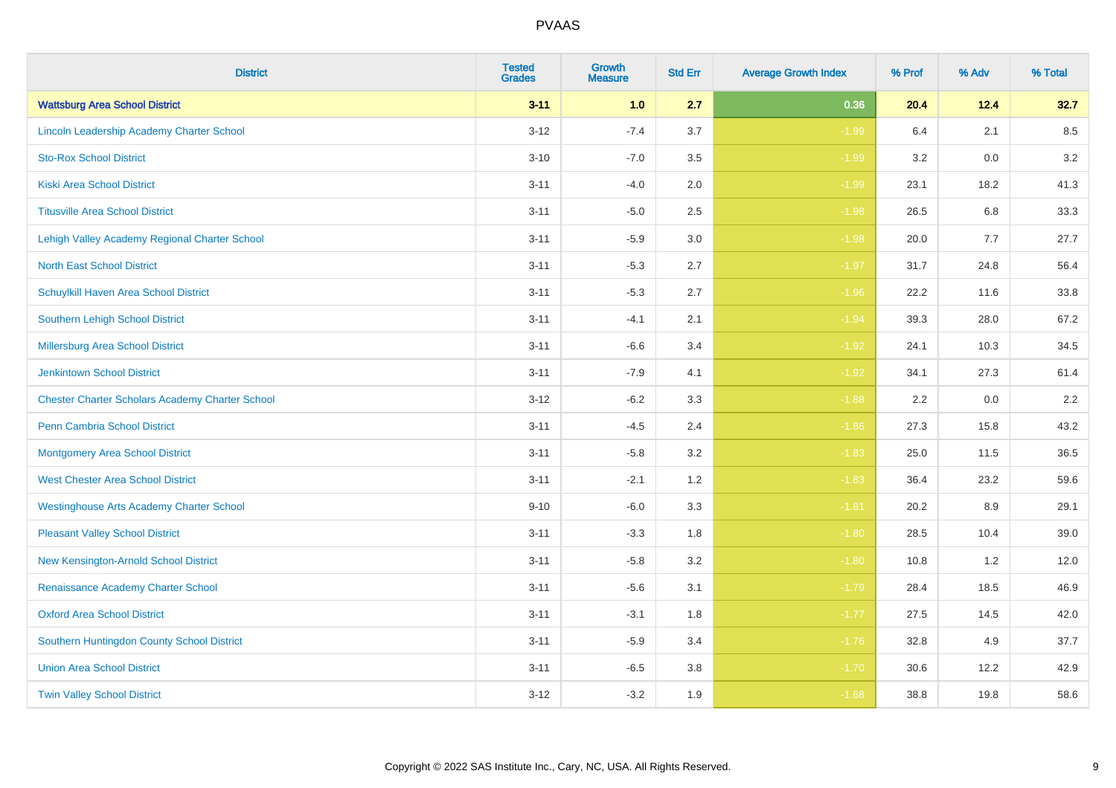| <b>District</b>                                        | <b>Tested</b><br><b>Grades</b> | <b>Growth</b><br><b>Measure</b> | <b>Std Err</b> | <b>Average Growth Index</b> | % Prof  | % Adv | % Total |
|--------------------------------------------------------|--------------------------------|---------------------------------|----------------|-----------------------------|---------|-------|---------|
| <b>Wattsburg Area School District</b>                  | $3 - 11$                       | 1.0                             | 2.7            | 0.36                        | 20.4    | 12.4  | 32.7    |
| Lincoln Leadership Academy Charter School              | $3 - 12$                       | $-7.4$                          | 3.7            | $-1.99$                     | $6.4\,$ | 2.1   | 8.5     |
| <b>Sto-Rox School District</b>                         | $3 - 10$                       | $-7.0$                          | 3.5            | $-1.99$                     | 3.2     | 0.0   | 3.2     |
| <b>Kiski Area School District</b>                      | $3 - 11$                       | $-4.0$                          | 2.0            | $-1.99$                     | 23.1    | 18.2  | 41.3    |
| <b>Titusville Area School District</b>                 | $3 - 11$                       | $-5.0$                          | 2.5            | $-1.98$                     | 26.5    | 6.8   | 33.3    |
| Lehigh Valley Academy Regional Charter School          | $3 - 11$                       | $-5.9$                          | 3.0            | $-1.98$                     | 20.0    | 7.7   | 27.7    |
| <b>North East School District</b>                      | $3 - 11$                       | $-5.3$                          | 2.7            | $-1.97$                     | 31.7    | 24.8  | 56.4    |
| Schuylkill Haven Area School District                  | $3 - 11$                       | $-5.3$                          | 2.7            | $-1.96$                     | 22.2    | 11.6  | 33.8    |
| Southern Lehigh School District                        | $3 - 11$                       | $-4.1$                          | 2.1            | $-1.94$                     | 39.3    | 28.0  | 67.2    |
| Millersburg Area School District                       | $3 - 11$                       | $-6.6$                          | 3.4            | $-1.92$                     | 24.1    | 10.3  | 34.5    |
| Jenkintown School District                             | $3 - 11$                       | $-7.9$                          | 4.1            | $-1.92$                     | 34.1    | 27.3  | 61.4    |
| <b>Chester Charter Scholars Academy Charter School</b> | $3 - 12$                       | $-6.2$                          | 3.3            | $-1.88$                     | 2.2     | 0.0   | 2.2     |
| <b>Penn Cambria School District</b>                    | $3 - 11$                       | $-4.5$                          | 2.4            | $-1.86$                     | 27.3    | 15.8  | 43.2    |
| <b>Montgomery Area School District</b>                 | $3 - 11$                       | $-5.8$                          | 3.2            | $-1.83$                     | 25.0    | 11.5  | 36.5    |
| <b>West Chester Area School District</b>               | $3 - 11$                       | $-2.1$                          | 1.2            | $-1.83$                     | 36.4    | 23.2  | 59.6    |
| <b>Westinghouse Arts Academy Charter School</b>        | $9 - 10$                       | $-6.0$                          | 3.3            | $-1.81$                     | 20.2    | 8.9   | 29.1    |
| <b>Pleasant Valley School District</b>                 | $3 - 11$                       | $-3.3$                          | 1.8            | $-1.80$                     | 28.5    | 10.4  | 39.0    |
| New Kensington-Arnold School District                  | $3 - 11$                       | $-5.8$                          | 3.2            | $-1.80$                     | 10.8    | 1.2   | 12.0    |
| Renaissance Academy Charter School                     | $3 - 11$                       | $-5.6$                          | 3.1            | $-1.79$                     | 28.4    | 18.5  | 46.9    |
| <b>Oxford Area School District</b>                     | $3 - 11$                       | $-3.1$                          | 1.8            | $-1.77$                     | 27.5    | 14.5  | 42.0    |
| Southern Huntingdon County School District             | $3 - 11$                       | $-5.9$                          | 3.4            | $-1.76$                     | 32.8    | 4.9   | 37.7    |
| <b>Union Area School District</b>                      | $3 - 11$                       | $-6.5$                          | 3.8            | $-1.70$                     | 30.6    | 12.2  | 42.9    |
| <b>Twin Valley School District</b>                     | $3 - 12$                       | $-3.2$                          | 1.9            | $-1.68$                     | 38.8    | 19.8  | 58.6    |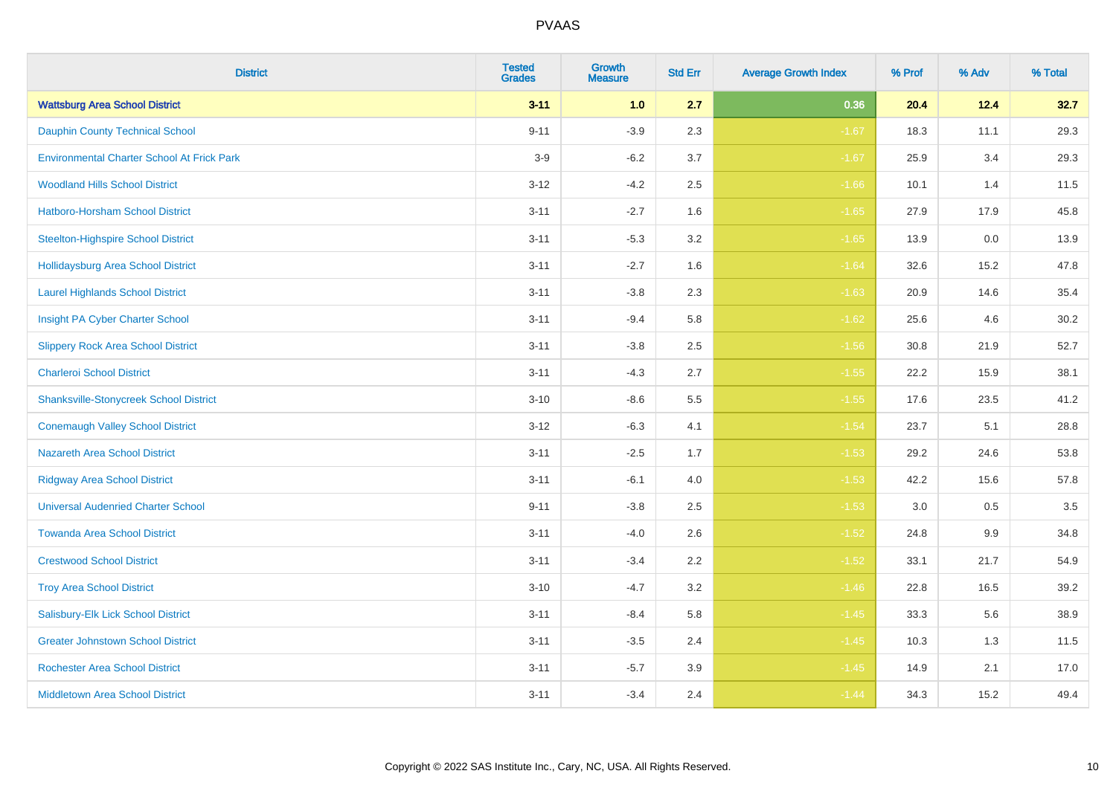| <b>District</b>                                   | <b>Tested</b><br><b>Grades</b> | <b>Growth</b><br><b>Measure</b> | <b>Std Err</b> | <b>Average Growth Index</b> | % Prof | % Adv   | % Total |
|---------------------------------------------------|--------------------------------|---------------------------------|----------------|-----------------------------|--------|---------|---------|
| <b>Wattsburg Area School District</b>             | $3 - 11$                       | 1.0                             | 2.7            | 0.36                        | 20.4   | 12.4    | 32.7    |
| <b>Dauphin County Technical School</b>            | $9 - 11$                       | $-3.9$                          | 2.3            | $-1.67$                     | 18.3   | 11.1    | 29.3    |
| <b>Environmental Charter School At Frick Park</b> | $3-9$                          | $-6.2$                          | 3.7            | $-1.67$                     | 25.9   | 3.4     | 29.3    |
| <b>Woodland Hills School District</b>             | $3 - 12$                       | $-4.2$                          | 2.5            | $-1.66$                     | 10.1   | 1.4     | 11.5    |
| <b>Hatboro-Horsham School District</b>            | $3 - 11$                       | $-2.7$                          | 1.6            | $-1.65$                     | 27.9   | 17.9    | 45.8    |
| <b>Steelton-Highspire School District</b>         | $3 - 11$                       | $-5.3$                          | 3.2            | $-1.65$                     | 13.9   | 0.0     | 13.9    |
| <b>Hollidaysburg Area School District</b>         | $3 - 11$                       | $-2.7$                          | 1.6            | $-1.64$                     | 32.6   | 15.2    | 47.8    |
| <b>Laurel Highlands School District</b>           | $3 - 11$                       | $-3.8$                          | 2.3            | $-1.63$                     | 20.9   | 14.6    | 35.4    |
| Insight PA Cyber Charter School                   | $3 - 11$                       | $-9.4$                          | 5.8            | $-1.62$                     | 25.6   | 4.6     | 30.2    |
| <b>Slippery Rock Area School District</b>         | $3 - 11$                       | $-3.8$                          | 2.5            | $-1.56$                     | 30.8   | 21.9    | 52.7    |
| <b>Charleroi School District</b>                  | $3 - 11$                       | $-4.3$                          | 2.7            | $-1.55$                     | 22.2   | 15.9    | 38.1    |
| <b>Shanksville-Stonycreek School District</b>     | $3 - 10$                       | $-8.6$                          | 5.5            | $-1.55$                     | 17.6   | 23.5    | 41.2    |
| <b>Conemaugh Valley School District</b>           | $3 - 12$                       | $-6.3$                          | 4.1            | $-1.54$                     | 23.7   | 5.1     | 28.8    |
| <b>Nazareth Area School District</b>              | $3 - 11$                       | $-2.5$                          | 1.7            | $-1.53$                     | 29.2   | 24.6    | 53.8    |
| <b>Ridgway Area School District</b>               | $3 - 11$                       | $-6.1$                          | 4.0            | $-1.53$                     | 42.2   | 15.6    | 57.8    |
| <b>Universal Audenried Charter School</b>         | $9 - 11$                       | $-3.8$                          | 2.5            | $-1.53$                     | 3.0    | $0.5\,$ | 3.5     |
| <b>Towanda Area School District</b>               | $3 - 11$                       | $-4.0$                          | 2.6            | $-1.52$                     | 24.8   | $9.9\,$ | 34.8    |
| <b>Crestwood School District</b>                  | $3 - 11$                       | $-3.4$                          | 2.2            | $-1.52$                     | 33.1   | 21.7    | 54.9    |
| <b>Troy Area School District</b>                  | $3 - 10$                       | $-4.7$                          | 3.2            | $-1.46$                     | 22.8   | 16.5    | 39.2    |
| Salisbury-Elk Lick School District                | $3 - 11$                       | $-8.4$                          | 5.8            | $-1.45$                     | 33.3   | 5.6     | 38.9    |
| <b>Greater Johnstown School District</b>          | $3 - 11$                       | $-3.5$                          | 2.4            | $-1.45$                     | 10.3   | 1.3     | 11.5    |
| <b>Rochester Area School District</b>             | $3 - 11$                       | $-5.7$                          | 3.9            | $-1.45$                     | 14.9   | 2.1     | 17.0    |
| <b>Middletown Area School District</b>            | $3 - 11$                       | $-3.4$                          | 2.4            | $-1.44$                     | 34.3   | 15.2    | 49.4    |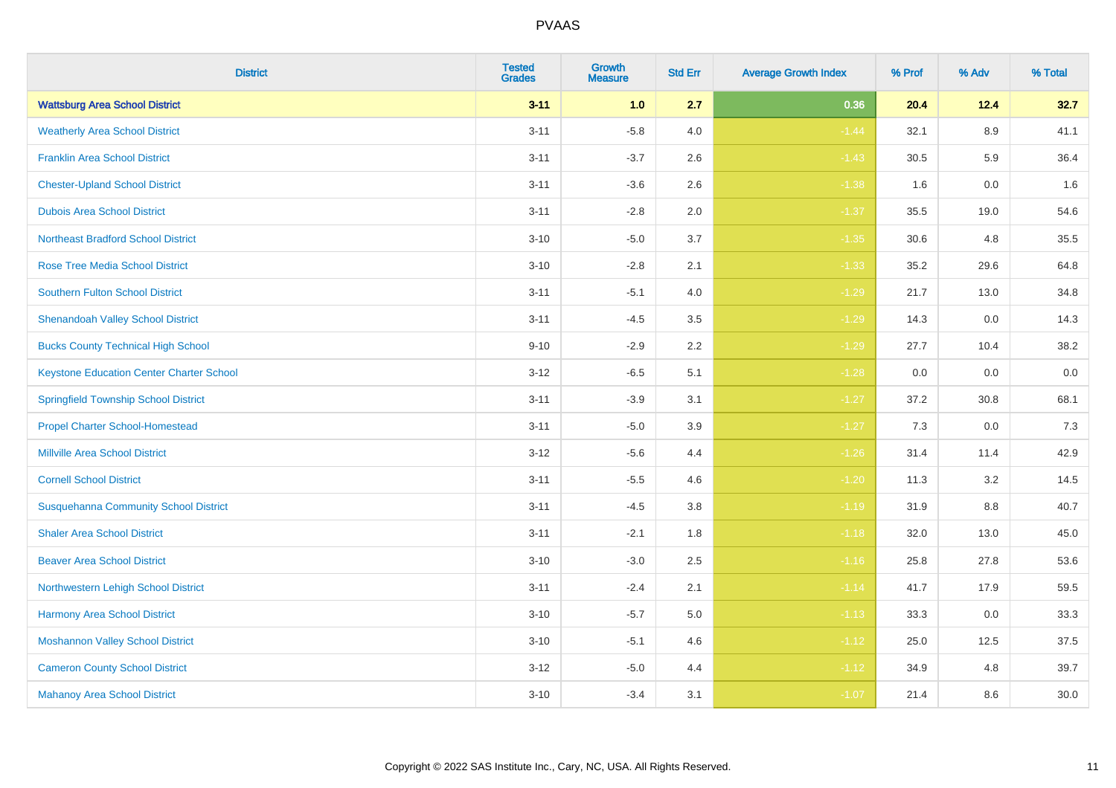| <b>District</b>                                 | <b>Tested</b><br><b>Grades</b> | <b>Growth</b><br><b>Measure</b> | <b>Std Err</b> | <b>Average Growth Index</b> | % Prof | % Adv   | % Total |
|-------------------------------------------------|--------------------------------|---------------------------------|----------------|-----------------------------|--------|---------|---------|
| <b>Wattsburg Area School District</b>           | $3 - 11$                       | 1.0                             | 2.7            | 0.36                        | 20.4   | 12.4    | 32.7    |
| <b>Weatherly Area School District</b>           | $3 - 11$                       | $-5.8$                          | 4.0            | $-1.44$                     | 32.1   | $8.9\,$ | 41.1    |
| <b>Franklin Area School District</b>            | $3 - 11$                       | $-3.7$                          | 2.6            | $-1.43$                     | 30.5   | 5.9     | 36.4    |
| <b>Chester-Upland School District</b>           | $3 - 11$                       | $-3.6$                          | 2.6            | $-1.38$                     | 1.6    | $0.0\,$ | 1.6     |
| <b>Dubois Area School District</b>              | $3 - 11$                       | $-2.8$                          | 2.0            | $-1.37$                     | 35.5   | 19.0    | 54.6    |
| <b>Northeast Bradford School District</b>       | $3 - 10$                       | $-5.0$                          | 3.7            | $-1.35$                     | 30.6   | 4.8     | 35.5    |
| <b>Rose Tree Media School District</b>          | $3 - 10$                       | $-2.8$                          | 2.1            | $-1.33$                     | 35.2   | 29.6    | 64.8    |
| <b>Southern Fulton School District</b>          | $3 - 11$                       | $-5.1$                          | 4.0            | $-1.29$                     | 21.7   | 13.0    | 34.8    |
| <b>Shenandoah Valley School District</b>        | $3 - 11$                       | $-4.5$                          | 3.5            | $-1.29$                     | 14.3   | 0.0     | 14.3    |
| <b>Bucks County Technical High School</b>       | $9 - 10$                       | $-2.9$                          | 2.2            | $-1.29$                     | 27.7   | 10.4    | 38.2    |
| <b>Keystone Education Center Charter School</b> | $3 - 12$                       | $-6.5$                          | 5.1            | $-1.28$                     | 0.0    | 0.0     | $0.0\,$ |
| <b>Springfield Township School District</b>     | $3 - 11$                       | $-3.9$                          | 3.1            | $-1.27$                     | 37.2   | 30.8    | 68.1    |
| <b>Propel Charter School-Homestead</b>          | $3 - 11$                       | $-5.0$                          | 3.9            | $-1.27$                     | 7.3    | 0.0     | $7.3$   |
| <b>Millville Area School District</b>           | $3 - 12$                       | $-5.6$                          | 4.4            | $-1.26$                     | 31.4   | 11.4    | 42.9    |
| <b>Cornell School District</b>                  | $3 - 11$                       | $-5.5$                          | 4.6            | $-1.20$                     | 11.3   | 3.2     | 14.5    |
| <b>Susquehanna Community School District</b>    | $3 - 11$                       | $-4.5$                          | $3.8\,$        | $-1.19$                     | 31.9   | $8.8\,$ | 40.7    |
| <b>Shaler Area School District</b>              | $3 - 11$                       | $-2.1$                          | 1.8            | $-1.18$                     | 32.0   | 13.0    | 45.0    |
| <b>Beaver Area School District</b>              | $3 - 10$                       | $-3.0$                          | 2.5            | $-1.16$                     | 25.8   | 27.8    | 53.6    |
| Northwestern Lehigh School District             | $3 - 11$                       | $-2.4$                          | 2.1            | $-1.14$                     | 41.7   | 17.9    | 59.5    |
| Harmony Area School District                    | $3 - 10$                       | $-5.7$                          | 5.0            | $-1.13$                     | 33.3   | 0.0     | 33.3    |
| <b>Moshannon Valley School District</b>         | $3 - 10$                       | $-5.1$                          | 4.6            | $-1.12$                     | 25.0   | 12.5    | 37.5    |
| <b>Cameron County School District</b>           | $3 - 12$                       | $-5.0$                          | 4.4            | $-1.12$                     | 34.9   | 4.8     | 39.7    |
| <b>Mahanoy Area School District</b>             | $3 - 10$                       | $-3.4$                          | 3.1            | $-1.07$                     | 21.4   | 8.6     | 30.0    |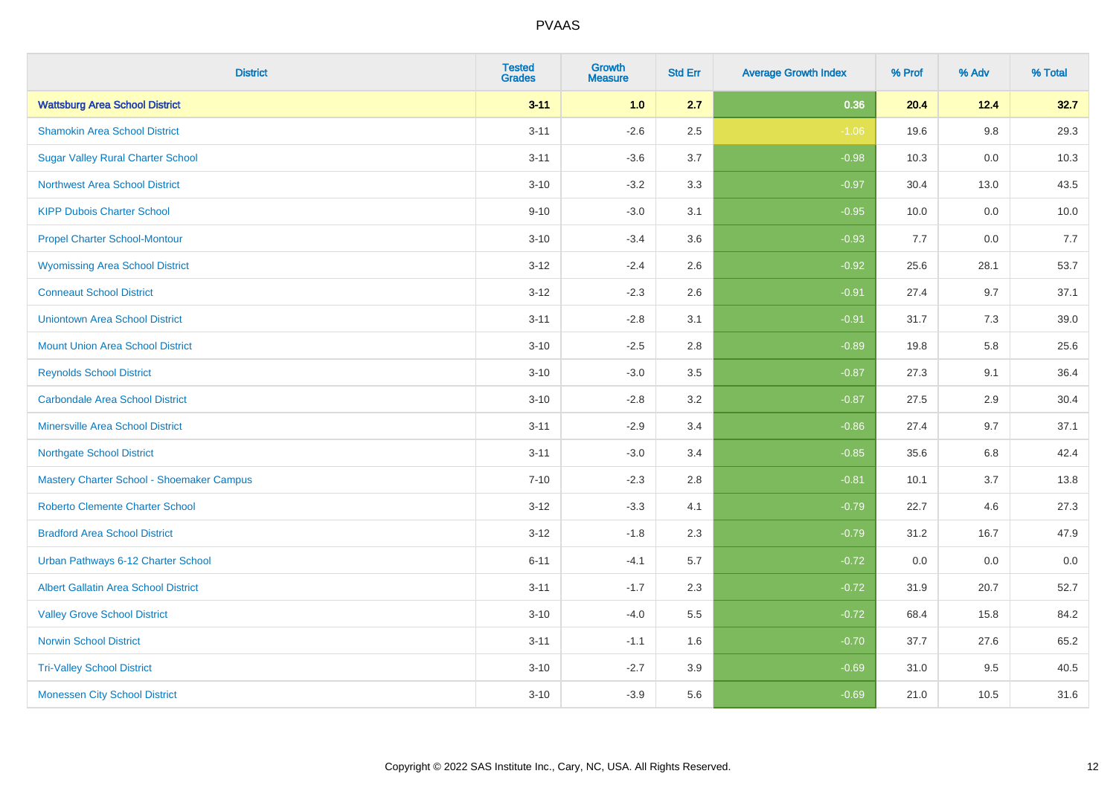| <b>District</b>                             | <b>Tested</b><br><b>Grades</b> | <b>Growth</b><br><b>Measure</b> | <b>Std Err</b> | <b>Average Growth Index</b> | % Prof | % Adv   | % Total |
|---------------------------------------------|--------------------------------|---------------------------------|----------------|-----------------------------|--------|---------|---------|
| <b>Wattsburg Area School District</b>       | $3 - 11$                       | 1.0                             | 2.7            | 0.36                        | 20.4   | 12.4    | 32.7    |
| <b>Shamokin Area School District</b>        | $3 - 11$                       | $-2.6$                          | 2.5            | $-1.06$                     | 19.6   | $9.8\,$ | 29.3    |
| <b>Sugar Valley Rural Charter School</b>    | $3 - 11$                       | $-3.6$                          | 3.7            | $-0.98$                     | 10.3   | 0.0     | 10.3    |
| <b>Northwest Area School District</b>       | $3 - 10$                       | $-3.2$                          | 3.3            | $-0.97$                     | 30.4   | 13.0    | 43.5    |
| <b>KIPP Dubois Charter School</b>           | $9 - 10$                       | $-3.0$                          | 3.1            | $-0.95$                     | 10.0   | 0.0     | 10.0    |
| <b>Propel Charter School-Montour</b>        | $3 - 10$                       | $-3.4$                          | 3.6            | $-0.93$                     | 7.7    | 0.0     | 7.7     |
| <b>Wyomissing Area School District</b>      | $3 - 12$                       | $-2.4$                          | 2.6            | $-0.92$                     | 25.6   | 28.1    | 53.7    |
| <b>Conneaut School District</b>             | $3 - 12$                       | $-2.3$                          | 2.6            | $-0.91$                     | 27.4   | 9.7     | 37.1    |
| <b>Uniontown Area School District</b>       | $3 - 11$                       | $-2.8$                          | 3.1            | $-0.91$                     | 31.7   | 7.3     | 39.0    |
| <b>Mount Union Area School District</b>     | $3 - 10$                       | $-2.5$                          | 2.8            | $-0.89$                     | 19.8   | 5.8     | 25.6    |
| <b>Reynolds School District</b>             | $3 - 10$                       | $-3.0$                          | 3.5            | $-0.87$                     | 27.3   | 9.1     | 36.4    |
| <b>Carbondale Area School District</b>      | $3 - 10$                       | $-2.8$                          | 3.2            | $-0.87$                     | 27.5   | 2.9     | 30.4    |
| <b>Minersville Area School District</b>     | $3 - 11$                       | $-2.9$                          | 3.4            | $-0.86$                     | 27.4   | 9.7     | 37.1    |
| <b>Northgate School District</b>            | $3 - 11$                       | $-3.0$                          | 3.4            | $-0.85$                     | 35.6   | 6.8     | 42.4    |
| Mastery Charter School - Shoemaker Campus   | $7 - 10$                       | $-2.3$                          | 2.8            | $-0.81$                     | 10.1   | 3.7     | 13.8    |
| <b>Roberto Clemente Charter School</b>      | $3 - 12$                       | $-3.3$                          | 4.1            | $-0.79$                     | 22.7   | 4.6     | 27.3    |
| <b>Bradford Area School District</b>        | $3 - 12$                       | $-1.8$                          | 2.3            | $-0.79$                     | 31.2   | 16.7    | 47.9    |
| Urban Pathways 6-12 Charter School          | $6 - 11$                       | $-4.1$                          | 5.7            | $-0.72$                     | 0.0    | 0.0     | $0.0\,$ |
| <b>Albert Gallatin Area School District</b> | $3 - 11$                       | $-1.7$                          | 2.3            | $-0.72$                     | 31.9   | 20.7    | 52.7    |
| <b>Valley Grove School District</b>         | $3 - 10$                       | $-4.0$                          | 5.5            | $-0.72$                     | 68.4   | 15.8    | 84.2    |
| <b>Norwin School District</b>               | $3 - 11$                       | $-1.1$                          | 1.6            | $-0.70$                     | 37.7   | 27.6    | 65.2    |
| <b>Tri-Valley School District</b>           | $3 - 10$                       | $-2.7$                          | 3.9            | $-0.69$                     | 31.0   | 9.5     | 40.5    |
| <b>Monessen City School District</b>        | $3 - 10$                       | $-3.9$                          | 5.6            | $-0.69$                     | 21.0   | 10.5    | 31.6    |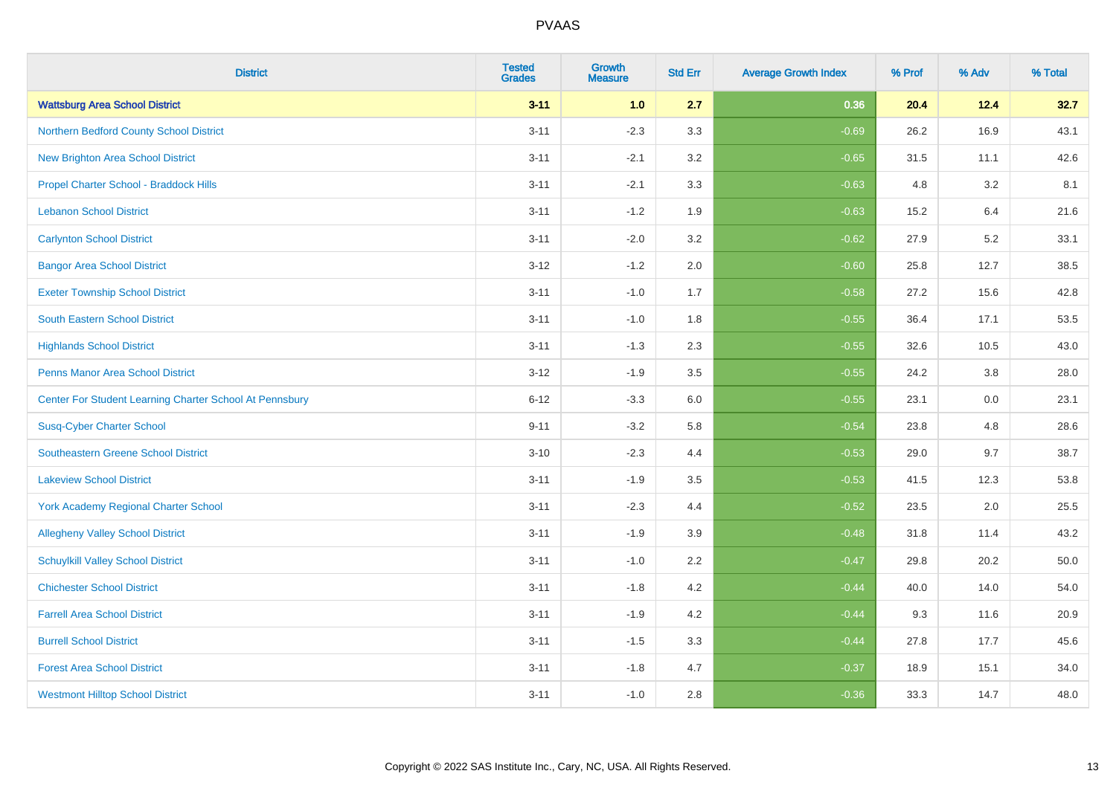| <b>District</b>                                         | <b>Tested</b><br><b>Grades</b> | <b>Growth</b><br><b>Measure</b> | <b>Std Err</b> | <b>Average Growth Index</b> | % Prof | % Adv | % Total |
|---------------------------------------------------------|--------------------------------|---------------------------------|----------------|-----------------------------|--------|-------|---------|
| <b>Wattsburg Area School District</b>                   | $3 - 11$                       | 1.0                             | 2.7            | 0.36                        | 20.4   | 12.4  | 32.7    |
| Northern Bedford County School District                 | $3 - 11$                       | $-2.3$                          | 3.3            | $-0.69$                     | 26.2   | 16.9  | 43.1    |
| <b>New Brighton Area School District</b>                | $3 - 11$                       | $-2.1$                          | 3.2            | $-0.65$                     | 31.5   | 11.1  | 42.6    |
| Propel Charter School - Braddock Hills                  | $3 - 11$                       | $-2.1$                          | 3.3            | $-0.63$                     | 4.8    | 3.2   | 8.1     |
| <b>Lebanon School District</b>                          | $3 - 11$                       | $-1.2$                          | 1.9            | $-0.63$                     | 15.2   | 6.4   | 21.6    |
| <b>Carlynton School District</b>                        | $3 - 11$                       | $-2.0$                          | 3.2            | $-0.62$                     | 27.9   | 5.2   | 33.1    |
| <b>Bangor Area School District</b>                      | $3 - 12$                       | $-1.2$                          | 2.0            | $-0.60$                     | 25.8   | 12.7  | 38.5    |
| <b>Exeter Township School District</b>                  | $3 - 11$                       | $-1.0$                          | 1.7            | $-0.58$                     | 27.2   | 15.6  | 42.8    |
| <b>South Eastern School District</b>                    | $3 - 11$                       | $-1.0$                          | 1.8            | $-0.55$                     | 36.4   | 17.1  | 53.5    |
| <b>Highlands School District</b>                        | $3 - 11$                       | $-1.3$                          | 2.3            | $-0.55$                     | 32.6   | 10.5  | 43.0    |
| <b>Penns Manor Area School District</b>                 | $3 - 12$                       | $-1.9$                          | 3.5            | $-0.55$                     | 24.2   | 3.8   | 28.0    |
| Center For Student Learning Charter School At Pennsbury | $6 - 12$                       | $-3.3$                          | 6.0            | $-0.55$                     | 23.1   | 0.0   | 23.1    |
| <b>Susq-Cyber Charter School</b>                        | $9 - 11$                       | $-3.2$                          | 5.8            | $-0.54$                     | 23.8   | 4.8   | 28.6    |
| Southeastern Greene School District                     | $3 - 10$                       | $-2.3$                          | 4.4            | $-0.53$                     | 29.0   | 9.7   | 38.7    |
| <b>Lakeview School District</b>                         | $3 - 11$                       | $-1.9$                          | 3.5            | $-0.53$                     | 41.5   | 12.3  | 53.8    |
| <b>York Academy Regional Charter School</b>             | $3 - 11$                       | $-2.3$                          | 4.4            | $-0.52$                     | 23.5   | 2.0   | 25.5    |
| <b>Allegheny Valley School District</b>                 | $3 - 11$                       | $-1.9$                          | 3.9            | $-0.48$                     | 31.8   | 11.4  | 43.2    |
| <b>Schuylkill Valley School District</b>                | $3 - 11$                       | $-1.0$                          | 2.2            | $-0.47$                     | 29.8   | 20.2  | 50.0    |
| <b>Chichester School District</b>                       | $3 - 11$                       | $-1.8$                          | 4.2            | $-0.44$                     | 40.0   | 14.0  | 54.0    |
| <b>Farrell Area School District</b>                     | $3 - 11$                       | $-1.9$                          | 4.2            | $-0.44$                     | 9.3    | 11.6  | 20.9    |
| <b>Burrell School District</b>                          | $3 - 11$                       | $-1.5$                          | 3.3            | $-0.44$                     | 27.8   | 17.7  | 45.6    |
| <b>Forest Area School District</b>                      | $3 - 11$                       | $-1.8$                          | 4.7            | $-0.37$                     | 18.9   | 15.1  | 34.0    |
| <b>Westmont Hilltop School District</b>                 | $3 - 11$                       | $-1.0$                          | 2.8            | $-0.36$                     | 33.3   | 14.7  | 48.0    |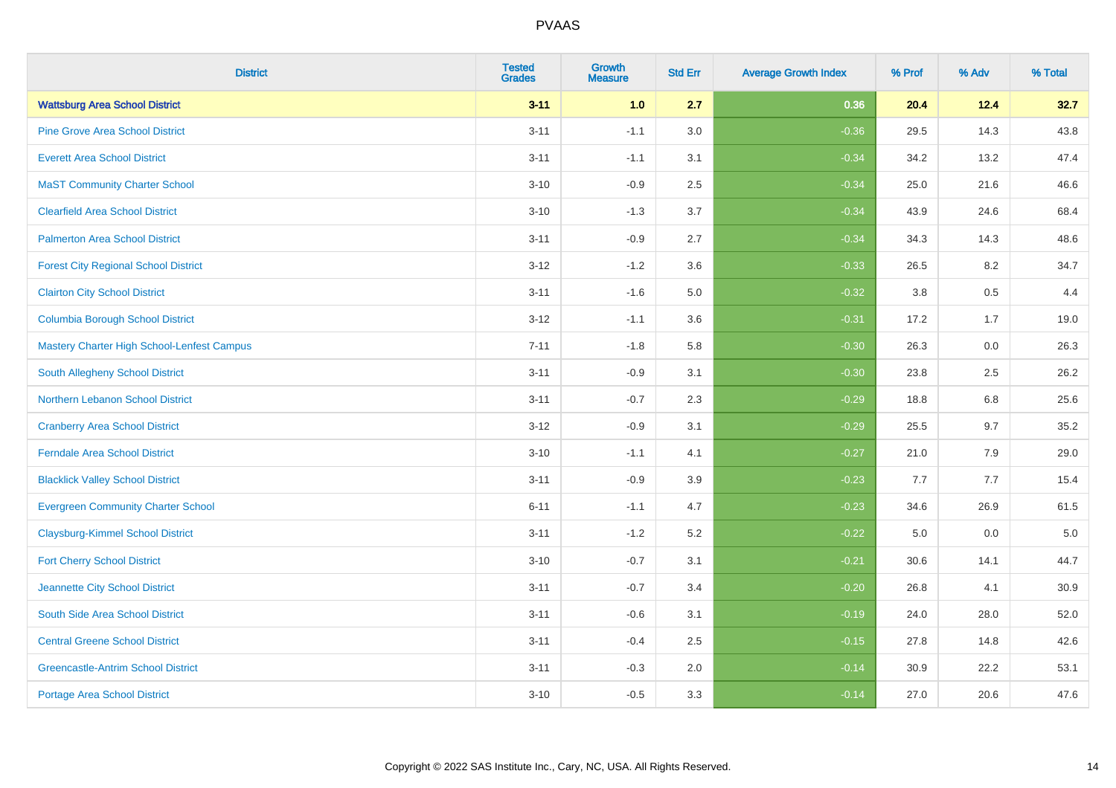| <b>District</b>                             | <b>Tested</b><br><b>Grades</b> | <b>Growth</b><br><b>Measure</b> | <b>Std Err</b> | <b>Average Growth Index</b> | % Prof | % Adv   | % Total |
|---------------------------------------------|--------------------------------|---------------------------------|----------------|-----------------------------|--------|---------|---------|
| <b>Wattsburg Area School District</b>       | $3 - 11$                       | 1.0                             | 2.7            | 0.36                        | 20.4   | 12.4    | 32.7    |
| <b>Pine Grove Area School District</b>      | $3 - 11$                       | $-1.1$                          | 3.0            | $-0.36$                     | 29.5   | 14.3    | 43.8    |
| <b>Everett Area School District</b>         | $3 - 11$                       | $-1.1$                          | 3.1            | $-0.34$                     | 34.2   | 13.2    | 47.4    |
| <b>MaST Community Charter School</b>        | $3 - 10$                       | $-0.9$                          | 2.5            | $-0.34$                     | 25.0   | 21.6    | 46.6    |
| <b>Clearfield Area School District</b>      | $3 - 10$                       | $-1.3$                          | 3.7            | $-0.34$                     | 43.9   | 24.6    | 68.4    |
| <b>Palmerton Area School District</b>       | $3 - 11$                       | $-0.9$                          | 2.7            | $-0.34$                     | 34.3   | 14.3    | 48.6    |
| <b>Forest City Regional School District</b> | $3 - 12$                       | $-1.2$                          | 3.6            | $-0.33$                     | 26.5   | 8.2     | 34.7    |
| <b>Clairton City School District</b>        | $3 - 11$                       | $-1.6$                          | 5.0            | $-0.32$                     | 3.8    | 0.5     | 4.4     |
| <b>Columbia Borough School District</b>     | $3 - 12$                       | $-1.1$                          | 3.6            | $-0.31$                     | 17.2   | 1.7     | 19.0    |
| Mastery Charter High School-Lenfest Campus  | $7 - 11$                       | $-1.8$                          | 5.8            | $-0.30$                     | 26.3   | 0.0     | 26.3    |
| South Allegheny School District             | $3 - 11$                       | $-0.9$                          | 3.1            | $-0.30$                     | 23.8   | 2.5     | 26.2    |
| <b>Northern Lebanon School District</b>     | $3 - 11$                       | $-0.7$                          | 2.3            | $-0.29$                     | 18.8   | 6.8     | 25.6    |
| <b>Cranberry Area School District</b>       | $3 - 12$                       | $-0.9$                          | 3.1            | $-0.29$                     | 25.5   | 9.7     | 35.2    |
| <b>Ferndale Area School District</b>        | $3 - 10$                       | $-1.1$                          | 4.1            | $-0.27$                     | 21.0   | 7.9     | 29.0    |
| <b>Blacklick Valley School District</b>     | $3 - 11$                       | $-0.9$                          | 3.9            | $-0.23$                     | 7.7    | 7.7     | 15.4    |
| <b>Evergreen Community Charter School</b>   | $6 - 11$                       | $-1.1$                          | 4.7            | $-0.23$                     | 34.6   | 26.9    | 61.5    |
| <b>Claysburg-Kimmel School District</b>     | $3 - 11$                       | $-1.2$                          | 5.2            | $-0.22$                     | 5.0    | $0.0\,$ | $5.0$   |
| <b>Fort Cherry School District</b>          | $3 - 10$                       | $-0.7$                          | 3.1            | $-0.21$                     | 30.6   | 14.1    | 44.7    |
| Jeannette City School District              | $3 - 11$                       | $-0.7$                          | 3.4            | $-0.20$                     | 26.8   | 4.1     | 30.9    |
| South Side Area School District             | $3 - 11$                       | $-0.6$                          | 3.1            | $-0.19$                     | 24.0   | 28.0    | 52.0    |
| <b>Central Greene School District</b>       | $3 - 11$                       | $-0.4$                          | 2.5            | $-0.15$                     | 27.8   | 14.8    | 42.6    |
| <b>Greencastle-Antrim School District</b>   | $3 - 11$                       | $-0.3$                          | 2.0            | $-0.14$                     | 30.9   | 22.2    | 53.1    |
| <b>Portage Area School District</b>         | $3 - 10$                       | $-0.5$                          | 3.3            | $-0.14$                     | 27.0   | 20.6    | 47.6    |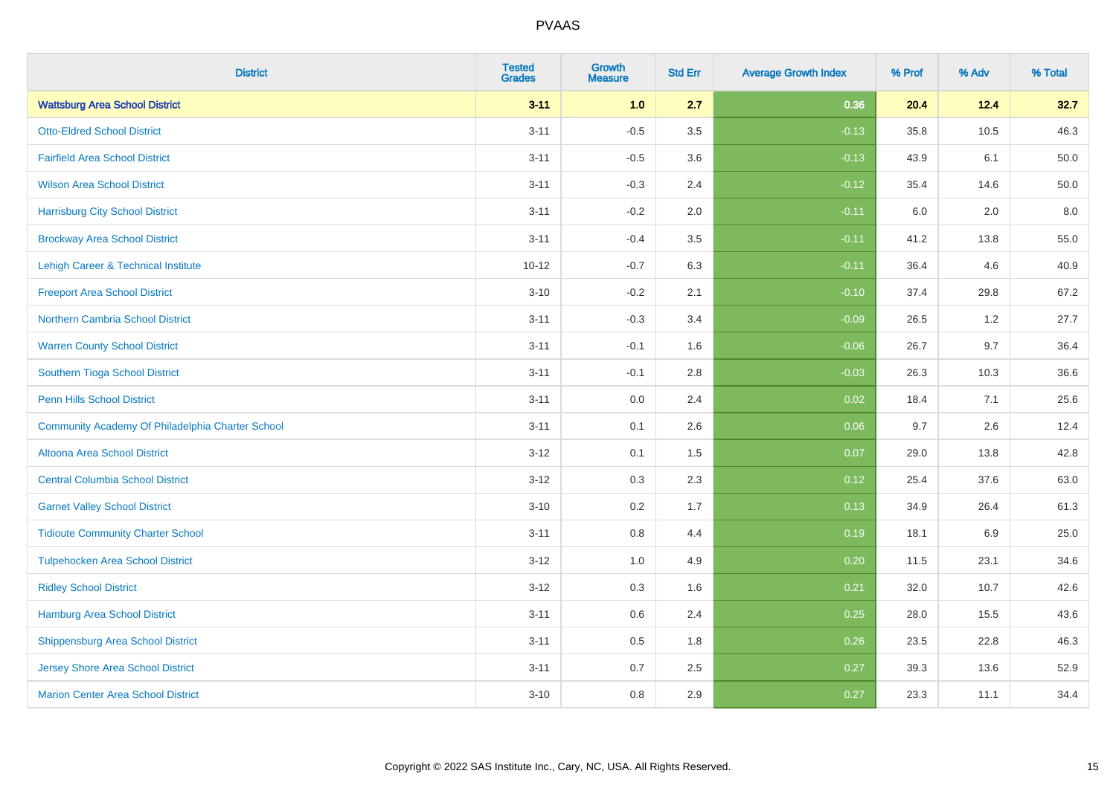| <b>District</b>                                  | <b>Tested</b><br><b>Grades</b> | <b>Growth</b><br><b>Measure</b> | <b>Std Err</b> | <b>Average Growth Index</b> | % Prof | % Adv   | % Total |
|--------------------------------------------------|--------------------------------|---------------------------------|----------------|-----------------------------|--------|---------|---------|
| <b>Wattsburg Area School District</b>            | $3 - 11$                       | 1.0                             | 2.7            | 0.36                        | 20.4   | 12.4    | 32.7    |
| <b>Otto-Eldred School District</b>               | $3 - 11$                       | $-0.5$                          | 3.5            | $-0.13$                     | 35.8   | 10.5    | 46.3    |
| <b>Fairfield Area School District</b>            | $3 - 11$                       | $-0.5$                          | 3.6            | $-0.13$                     | 43.9   | 6.1     | 50.0    |
| <b>Wilson Area School District</b>               | $3 - 11$                       | $-0.3$                          | 2.4            | $-0.12$                     | 35.4   | 14.6    | 50.0    |
| <b>Harrisburg City School District</b>           | $3 - 11$                       | $-0.2$                          | 2.0            | $-0.11$                     | 6.0    | 2.0     | 8.0     |
| <b>Brockway Area School District</b>             | $3 - 11$                       | $-0.4$                          | 3.5            | $-0.11$                     | 41.2   | 13.8    | 55.0    |
| Lehigh Career & Technical Institute              | $10 - 12$                      | $-0.7$                          | 6.3            | $-0.11$                     | 36.4   | 4.6     | 40.9    |
| <b>Freeport Area School District</b>             | $3 - 10$                       | $-0.2$                          | 2.1            | $-0.10$                     | 37.4   | 29.8    | 67.2    |
| <b>Northern Cambria School District</b>          | $3 - 11$                       | $-0.3$                          | 3.4            | $-0.09$                     | 26.5   | 1.2     | 27.7    |
| <b>Warren County School District</b>             | $3 - 11$                       | $-0.1$                          | 1.6            | $-0.06$                     | 26.7   | 9.7     | 36.4    |
| Southern Tioga School District                   | $3 - 11$                       | $-0.1$                          | 2.8            | $-0.03$                     | 26.3   | 10.3    | 36.6    |
| <b>Penn Hills School District</b>                | $3 - 11$                       | 0.0                             | 2.4            | 0.02                        | 18.4   | 7.1     | 25.6    |
| Community Academy Of Philadelphia Charter School | $3 - 11$                       | 0.1                             | 2.6            | 0.06                        | 9.7    | $2.6\,$ | 12.4    |
| Altoona Area School District                     | $3 - 12$                       | 0.1                             | 1.5            | 0.07                        | 29.0   | 13.8    | 42.8    |
| <b>Central Columbia School District</b>          | $3 - 12$                       | 0.3                             | 2.3            | 0.12                        | 25.4   | 37.6    | 63.0    |
| <b>Garnet Valley School District</b>             | $3 - 10$                       | 0.2                             | 1.7            | 0.13                        | 34.9   | 26.4    | 61.3    |
| <b>Tidioute Community Charter School</b>         | $3 - 11$                       | 0.8                             | 4.4            | 0.19                        | 18.1   | 6.9     | 25.0    |
| <b>Tulpehocken Area School District</b>          | $3 - 12$                       | 1.0                             | 4.9            | 0.20                        | 11.5   | 23.1    | 34.6    |
| <b>Ridley School District</b>                    | $3 - 12$                       | 0.3                             | 1.6            | 0.21                        | 32.0   | 10.7    | 42.6    |
| Hamburg Area School District                     | $3 - 11$                       | 0.6                             | 2.4            | 0.25                        | 28.0   | 15.5    | 43.6    |
| <b>Shippensburg Area School District</b>         | $3 - 11$                       | 0.5                             | 1.8            | 0.26                        | 23.5   | 22.8    | 46.3    |
| <b>Jersey Shore Area School District</b>         | $3 - 11$                       | 0.7                             | 2.5            | 0.27                        | 39.3   | 13.6    | 52.9    |
| <b>Marion Center Area School District</b>        | $3 - 10$                       | 0.8                             | 2.9            | 0.27                        | 23.3   | 11.1    | 34.4    |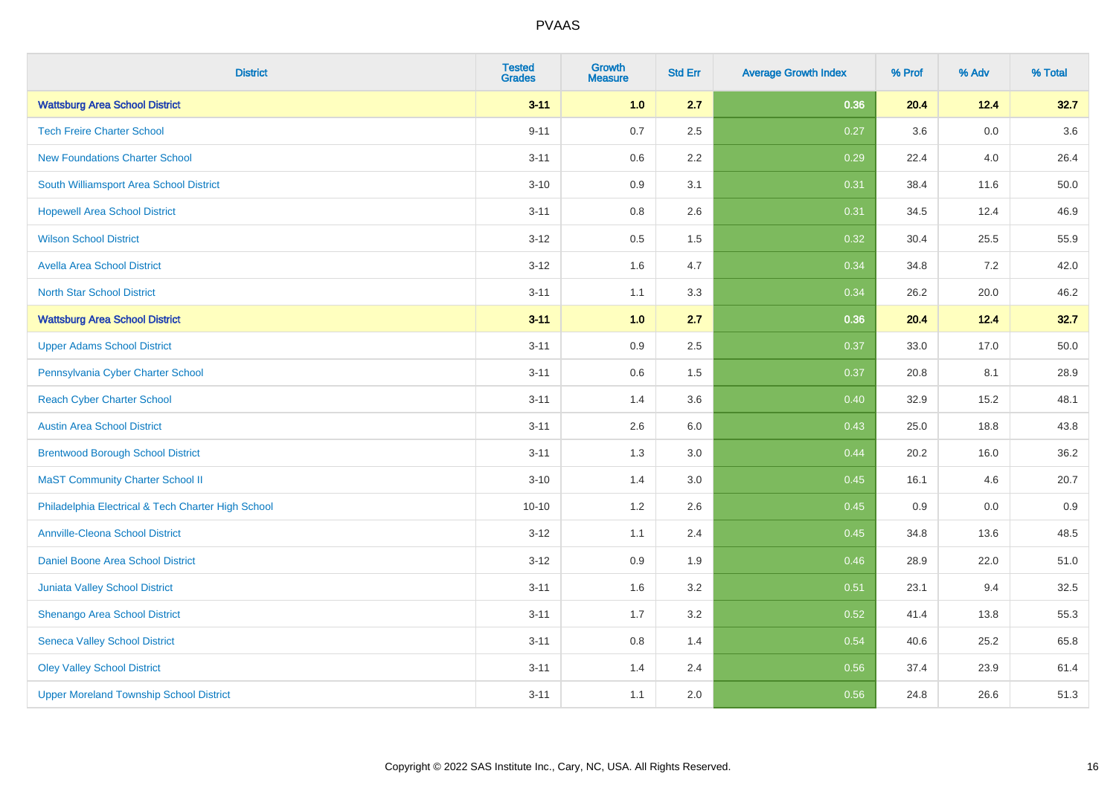| <b>District</b>                                    | <b>Tested</b><br><b>Grades</b> | <b>Growth</b><br><b>Measure</b> | <b>Std Err</b> | <b>Average Growth Index</b> | % Prof | % Adv | % Total |
|----------------------------------------------------|--------------------------------|---------------------------------|----------------|-----------------------------|--------|-------|---------|
| <b>Wattsburg Area School District</b>              | $3 - 11$                       | 1.0                             | 2.7            | 0.36                        | 20.4   | 12.4  | 32.7    |
| <b>Tech Freire Charter School</b>                  | $9 - 11$                       | 0.7                             | 2.5            | 0.27                        | 3.6    | 0.0   | 3.6     |
| <b>New Foundations Charter School</b>              | $3 - 11$                       | 0.6                             | 2.2            | 0.29                        | 22.4   | 4.0   | 26.4    |
| South Williamsport Area School District            | $3 - 10$                       | 0.9                             | 3.1            | 0.31                        | 38.4   | 11.6  | 50.0    |
| <b>Hopewell Area School District</b>               | $3 - 11$                       | 0.8                             | 2.6            | 0.31                        | 34.5   | 12.4  | 46.9    |
| <b>Wilson School District</b>                      | $3 - 12$                       | $0.5\,$                         | 1.5            | 0.32                        | 30.4   | 25.5  | 55.9    |
| <b>Avella Area School District</b>                 | $3 - 12$                       | 1.6                             | 4.7            | 0.34                        | 34.8   | 7.2   | 42.0    |
| <b>North Star School District</b>                  | $3 - 11$                       | 1.1                             | 3.3            | 0.34                        | 26.2   | 20.0  | 46.2    |
| <b>Wattsburg Area School District</b>              | $3 - 11$                       | 1.0                             | 2.7            | 0.36                        | 20.4   | 12.4  | 32.7    |
| <b>Upper Adams School District</b>                 | $3 - 11$                       | $0.9\,$                         | 2.5            | 0.37                        | 33.0   | 17.0  | 50.0    |
| Pennsylvania Cyber Charter School                  | $3 - 11$                       | 0.6                             | 1.5            | 0.37                        | 20.8   | 8.1   | 28.9    |
| <b>Reach Cyber Charter School</b>                  | $3 - 11$                       | 1.4                             | 3.6            | 0.40                        | 32.9   | 15.2  | 48.1    |
| <b>Austin Area School District</b>                 | $3 - 11$                       | 2.6                             | 6.0            | 0.43                        | 25.0   | 18.8  | 43.8    |
| <b>Brentwood Borough School District</b>           | $3 - 11$                       | 1.3                             | 3.0            | 0.44                        | 20.2   | 16.0  | 36.2    |
| <b>MaST Community Charter School II</b>            | $3 - 10$                       | 1.4                             | 3.0            | 0.45                        | 16.1   | 4.6   | 20.7    |
| Philadelphia Electrical & Tech Charter High School | $10 - 10$                      | 1.2                             | 2.6            | 0.45                        | 0.9    | 0.0   | 0.9     |
| <b>Annville-Cleona School District</b>             | $3 - 12$                       | 1.1                             | 2.4            | 0.45                        | 34.8   | 13.6  | 48.5    |
| Daniel Boone Area School District                  | $3 - 12$                       | 0.9                             | 1.9            | 0.46                        | 28.9   | 22.0  | 51.0    |
| Juniata Valley School District                     | $3 - 11$                       | 1.6                             | 3.2            | 0.51                        | 23.1   | 9.4   | 32.5    |
| Shenango Area School District                      | $3 - 11$                       | 1.7                             | 3.2            | 0.52                        | 41.4   | 13.8  | 55.3    |
| <b>Seneca Valley School District</b>               | $3 - 11$                       | $0.8\,$                         | 1.4            | 0.54                        | 40.6   | 25.2  | 65.8    |
| <b>Oley Valley School District</b>                 | $3 - 11$                       | 1.4                             | 2.4            | 0.56                        | 37.4   | 23.9  | 61.4    |
| <b>Upper Moreland Township School District</b>     | $3 - 11$                       | 1.1                             | 2.0            | 0.56                        | 24.8   | 26.6  | 51.3    |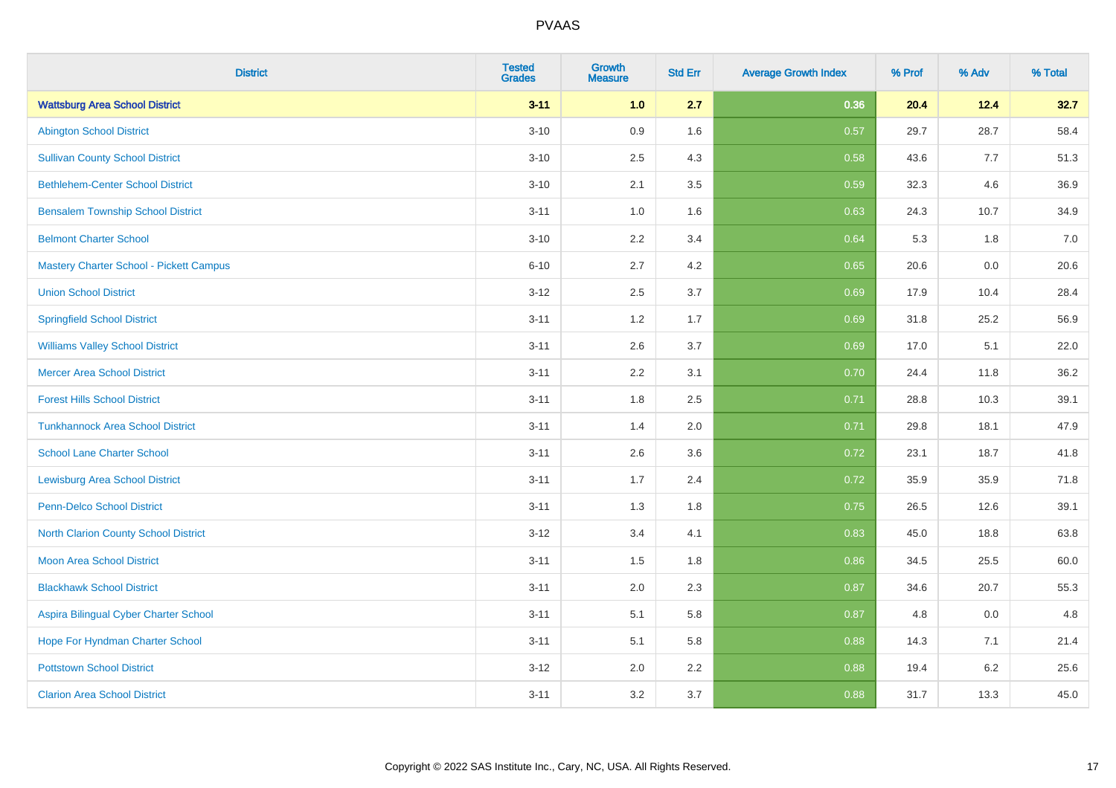| <b>District</b>                          | <b>Tested</b><br><b>Grades</b> | <b>Growth</b><br><b>Measure</b> | <b>Std Err</b> | <b>Average Growth Index</b> | % Prof | % Adv | % Total |
|------------------------------------------|--------------------------------|---------------------------------|----------------|-----------------------------|--------|-------|---------|
| <b>Wattsburg Area School District</b>    | $3 - 11$                       | 1.0                             | 2.7            | 0.36                        | 20.4   | 12.4  | 32.7    |
| <b>Abington School District</b>          | $3 - 10$                       | 0.9                             | 1.6            | 0.57                        | 29.7   | 28.7  | 58.4    |
| <b>Sullivan County School District</b>   | $3 - 10$                       | 2.5                             | 4.3            | 0.58                        | 43.6   | 7.7   | 51.3    |
| <b>Bethlehem-Center School District</b>  | $3 - 10$                       | 2.1                             | 3.5            | 0.59                        | 32.3   | 4.6   | 36.9    |
| <b>Bensalem Township School District</b> | $3 - 11$                       | 1.0                             | 1.6            | 0.63                        | 24.3   | 10.7  | 34.9    |
| <b>Belmont Charter School</b>            | $3 - 10$                       | 2.2                             | 3.4            | 0.64                        | 5.3    | 1.8   | 7.0     |
| Mastery Charter School - Pickett Campus  | $6 - 10$                       | 2.7                             | 4.2            | 0.65                        | 20.6   | 0.0   | 20.6    |
| <b>Union School District</b>             | $3 - 12$                       | 2.5                             | 3.7            | 0.69                        | 17.9   | 10.4  | 28.4    |
| <b>Springfield School District</b>       | $3 - 11$                       | 1.2                             | 1.7            | 0.69                        | 31.8   | 25.2  | 56.9    |
| <b>Williams Valley School District</b>   | $3 - 11$                       | 2.6                             | 3.7            | 0.69                        | 17.0   | 5.1   | 22.0    |
| <b>Mercer Area School District</b>       | $3 - 11$                       | 2.2                             | 3.1            | 0.70                        | 24.4   | 11.8  | 36.2    |
| <b>Forest Hills School District</b>      | $3 - 11$                       | 1.8                             | 2.5            | 0.71                        | 28.8   | 10.3  | 39.1    |
| <b>Tunkhannock Area School District</b>  | $3 - 11$                       | 1.4                             | 2.0            | 0.71                        | 29.8   | 18.1  | 47.9    |
| <b>School Lane Charter School</b>        | $3 - 11$                       | 2.6                             | 3.6            | 0.72                        | 23.1   | 18.7  | 41.8    |
| <b>Lewisburg Area School District</b>    | $3 - 11$                       | 1.7                             | 2.4            | 0.72                        | 35.9   | 35.9  | 71.8    |
| Penn-Delco School District               | $3 - 11$                       | 1.3                             | 1.8            | 0.75                        | 26.5   | 12.6  | 39.1    |
| North Clarion County School District     | $3 - 12$                       | 3.4                             | 4.1            | 0.83                        | 45.0   | 18.8  | 63.8    |
| <b>Moon Area School District</b>         | $3 - 11$                       | 1.5                             | 1.8            | 0.86                        | 34.5   | 25.5  | 60.0    |
| <b>Blackhawk School District</b>         | $3 - 11$                       | 2.0                             | 2.3            | 0.87                        | 34.6   | 20.7  | 55.3    |
| Aspira Bilingual Cyber Charter School    | $3 - 11$                       | 5.1                             | 5.8            | 0.87                        | 4.8    | 0.0   | 4.8     |
| Hope For Hyndman Charter School          | $3 - 11$                       | 5.1                             | 5.8            | 0.88                        | 14.3   | 7.1   | 21.4    |
| <b>Pottstown School District</b>         | $3 - 12$                       | 2.0                             | 2.2            | 0.88                        | 19.4   | 6.2   | 25.6    |
| <b>Clarion Area School District</b>      | $3 - 11$                       | 3.2                             | 3.7            | 0.88                        | 31.7   | 13.3  | 45.0    |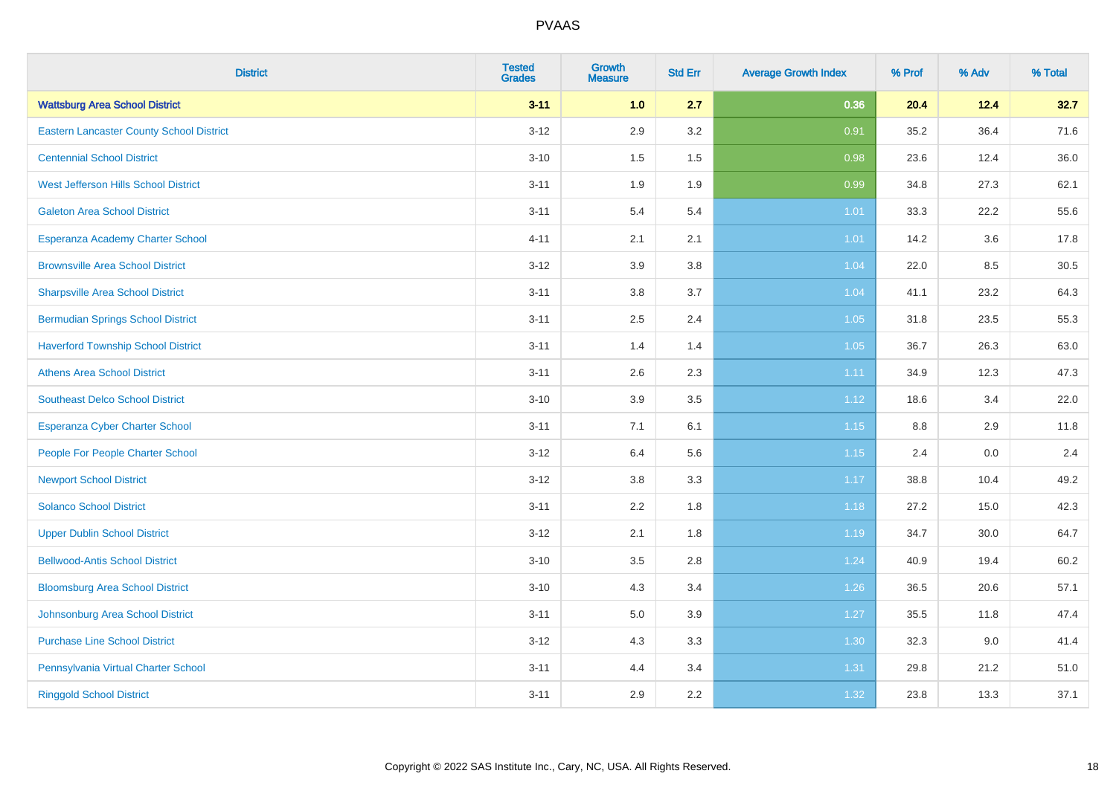| <b>District</b>                                 | <b>Tested</b><br><b>Grades</b> | <b>Growth</b><br><b>Measure</b> | <b>Std Err</b> | <b>Average Growth Index</b> | % Prof | % Adv | % Total |
|-------------------------------------------------|--------------------------------|---------------------------------|----------------|-----------------------------|--------|-------|---------|
| <b>Wattsburg Area School District</b>           | $3 - 11$                       | 1.0                             | 2.7            | 0.36                        | 20.4   | 12.4  | 32.7    |
| <b>Eastern Lancaster County School District</b> | $3 - 12$                       | 2.9                             | 3.2            | 0.91                        | 35.2   | 36.4  | 71.6    |
| <b>Centennial School District</b>               | $3 - 10$                       | 1.5                             | 1.5            | 0.98                        | 23.6   | 12.4  | 36.0    |
| <b>West Jefferson Hills School District</b>     | $3 - 11$                       | 1.9                             | 1.9            | 0.99                        | 34.8   | 27.3  | 62.1    |
| <b>Galeton Area School District</b>             | $3 - 11$                       | 5.4                             | 5.4            | 1.01                        | 33.3   | 22.2  | 55.6    |
| Esperanza Academy Charter School                | $4 - 11$                       | 2.1                             | 2.1            | $1.01$                      | 14.2   | 3.6   | 17.8    |
| <b>Brownsville Area School District</b>         | $3 - 12$                       | 3.9                             | 3.8            | 1.04                        | 22.0   | 8.5   | 30.5    |
| <b>Sharpsville Area School District</b>         | $3 - 11$                       | 3.8                             | 3.7            | 1.04                        | 41.1   | 23.2  | 64.3    |
| <b>Bermudian Springs School District</b>        | $3 - 11$                       | 2.5                             | 2.4            | 1.05                        | 31.8   | 23.5  | 55.3    |
| <b>Haverford Township School District</b>       | $3 - 11$                       | 1.4                             | 1.4            | 1.05                        | 36.7   | 26.3  | 63.0    |
| <b>Athens Area School District</b>              | $3 - 11$                       | 2.6                             | 2.3            | 1.11                        | 34.9   | 12.3  | 47.3    |
| <b>Southeast Delco School District</b>          | $3 - 10$                       | 3.9                             | 3.5            | 1.12                        | 18.6   | 3.4   | 22.0    |
| Esperanza Cyber Charter School                  | $3 - 11$                       | 7.1                             | 6.1            | 1.15                        | 8.8    | 2.9   | 11.8    |
| People For People Charter School                | $3 - 12$                       | 6.4                             | 5.6            | 1.15                        | 2.4    | 0.0   | 2.4     |
| <b>Newport School District</b>                  | $3 - 12$                       | $3.8\,$                         | 3.3            | 1.17                        | 38.8   | 10.4  | 49.2    |
| <b>Solanco School District</b>                  | $3 - 11$                       | 2.2                             | 1.8            | 1.18                        | 27.2   | 15.0  | 42.3    |
| <b>Upper Dublin School District</b>             | $3 - 12$                       | 2.1                             | 1.8            | 1.19                        | 34.7   | 30.0  | 64.7    |
| <b>Bellwood-Antis School District</b>           | $3 - 10$                       | 3.5                             | 2.8            | 1.24                        | 40.9   | 19.4  | 60.2    |
| <b>Bloomsburg Area School District</b>          | $3 - 10$                       | 4.3                             | 3.4            | 1.26                        | 36.5   | 20.6  | 57.1    |
| Johnsonburg Area School District                | $3 - 11$                       | 5.0                             | 3.9            | 1.27                        | 35.5   | 11.8  | 47.4    |
| <b>Purchase Line School District</b>            | $3 - 12$                       | 4.3                             | 3.3            | 1.30                        | 32.3   | 9.0   | 41.4    |
| Pennsylvania Virtual Charter School             | $3 - 11$                       | 4.4                             | 3.4            | 1.31                        | 29.8   | 21.2  | 51.0    |
| <b>Ringgold School District</b>                 | $3 - 11$                       | 2.9                             | 2.2            | 1.32                        | 23.8   | 13.3  | 37.1    |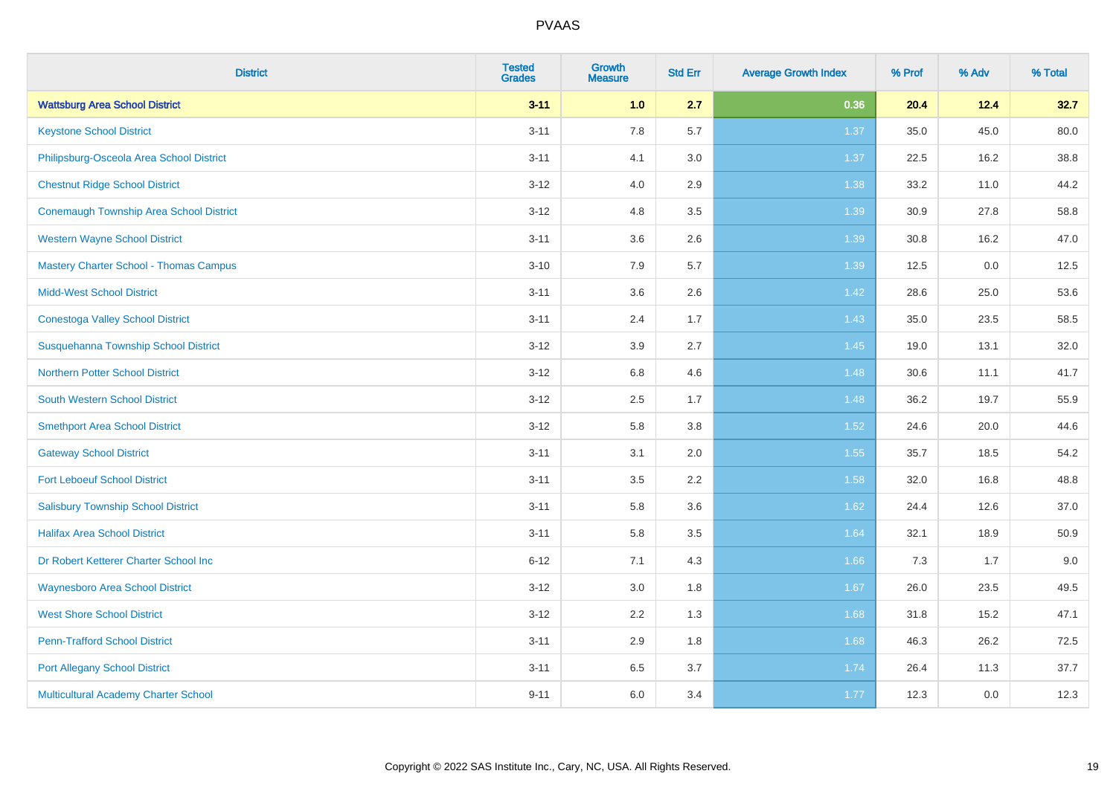| <b>District</b>                                | <b>Tested</b><br><b>Grades</b> | <b>Growth</b><br><b>Measure</b> | <b>Std Err</b> | <b>Average Growth Index</b> | % Prof | % Adv | % Total |
|------------------------------------------------|--------------------------------|---------------------------------|----------------|-----------------------------|--------|-------|---------|
| <b>Wattsburg Area School District</b>          | $3 - 11$                       | 1.0                             | 2.7            | 0.36                        | 20.4   | 12.4  | 32.7    |
| <b>Keystone School District</b>                | $3 - 11$                       | 7.8                             | 5.7            | 1.37                        | 35.0   | 45.0  | 80.0    |
| Philipsburg-Osceola Area School District       | $3 - 11$                       | 4.1                             | 3.0            | 1.37                        | 22.5   | 16.2  | 38.8    |
| <b>Chestnut Ridge School District</b>          | $3 - 12$                       | 4.0                             | 2.9            | 1.38                        | 33.2   | 11.0  | 44.2    |
| <b>Conemaugh Township Area School District</b> | $3 - 12$                       | 4.8                             | 3.5            | 1.39                        | 30.9   | 27.8  | 58.8    |
| <b>Western Wayne School District</b>           | $3 - 11$                       | 3.6                             | 2.6            | 1.39                        | 30.8   | 16.2  | 47.0    |
| <b>Mastery Charter School - Thomas Campus</b>  | $3 - 10$                       | 7.9                             | 5.7            | 1.39                        | 12.5   | 0.0   | 12.5    |
| <b>Midd-West School District</b>               | $3 - 11$                       | 3.6                             | 2.6            | 1.42                        | 28.6   | 25.0  | 53.6    |
| <b>Conestoga Valley School District</b>        | $3 - 11$                       | 2.4                             | 1.7            | 1.43                        | 35.0   | 23.5  | 58.5    |
| Susquehanna Township School District           | $3 - 12$                       | 3.9                             | 2.7            | 1.45                        | 19.0   | 13.1  | 32.0    |
| <b>Northern Potter School District</b>         | $3 - 12$                       | $6.8\,$                         | 4.6            | 1.48                        | 30.6   | 11.1  | 41.7    |
| South Western School District                  | $3 - 12$                       | 2.5                             | 1.7            | 1.48                        | 36.2   | 19.7  | 55.9    |
| <b>Smethport Area School District</b>          | $3 - 12$                       | 5.8                             | 3.8            | 1.52                        | 24.6   | 20.0  | 44.6    |
| <b>Gateway School District</b>                 | $3 - 11$                       | 3.1                             | 2.0            | 1.55                        | 35.7   | 18.5  | 54.2    |
| <b>Fort Leboeuf School District</b>            | $3 - 11$                       | 3.5                             | 2.2            | 1.58                        | 32.0   | 16.8  | 48.8    |
| <b>Salisbury Township School District</b>      | $3 - 11$                       | 5.8                             | 3.6            | 1.62                        | 24.4   | 12.6  | 37.0    |
| <b>Halifax Area School District</b>            | $3 - 11$                       | 5.8                             | 3.5            | 1.64                        | 32.1   | 18.9  | 50.9    |
| Dr Robert Ketterer Charter School Inc          | $6 - 12$                       | 7.1                             | 4.3            | 1.66                        | 7.3    | 1.7   | 9.0     |
| <b>Waynesboro Area School District</b>         | $3 - 12$                       | 3.0                             | 1.8            | 1.67                        | 26.0   | 23.5  | 49.5    |
| <b>West Shore School District</b>              | $3-12$                         | 2.2                             | 1.3            | 1.68                        | 31.8   | 15.2  | 47.1    |
| <b>Penn-Trafford School District</b>           | $3 - 11$                       | 2.9                             | 1.8            | 1.68                        | 46.3   | 26.2  | 72.5    |
| <b>Port Allegany School District</b>           | $3 - 11$                       | 6.5                             | 3.7            | 1.74                        | 26.4   | 11.3  | 37.7    |
| Multicultural Academy Charter School           | $9 - 11$                       | 6.0                             | 3.4            | 1.77                        | 12.3   | 0.0   | 12.3    |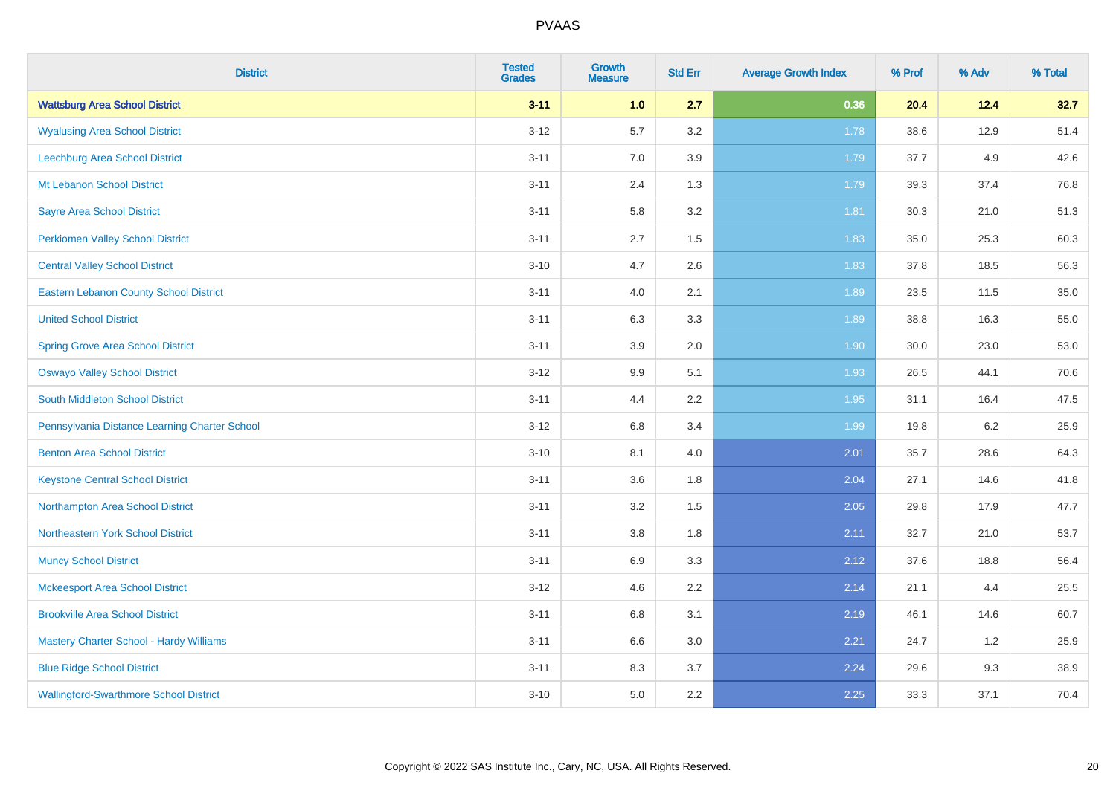| <b>District</b>                               | <b>Tested</b><br><b>Grades</b> | <b>Growth</b><br><b>Measure</b> | <b>Std Err</b> | <b>Average Growth Index</b> | % Prof | % Adv   | % Total |
|-----------------------------------------------|--------------------------------|---------------------------------|----------------|-----------------------------|--------|---------|---------|
| <b>Wattsburg Area School District</b>         | $3 - 11$                       | 1.0                             | 2.7            | 0.36                        | 20.4   | 12.4    | 32.7    |
| <b>Wyalusing Area School District</b>         | $3 - 12$                       | 5.7                             | $3.2\,$        | 1.78                        | 38.6   | 12.9    | 51.4    |
| Leechburg Area School District                | $3 - 11$                       | 7.0                             | 3.9            | 1.79                        | 37.7   | 4.9     | 42.6    |
| Mt Lebanon School District                    | $3 - 11$                       | 2.4                             | 1.3            | 1.79                        | 39.3   | 37.4    | 76.8    |
| <b>Sayre Area School District</b>             | $3 - 11$                       | 5.8                             | 3.2            | 1.81                        | 30.3   | 21.0    | 51.3    |
| <b>Perkiomen Valley School District</b>       | $3 - 11$                       | 2.7                             | 1.5            | 1.83                        | 35.0   | 25.3    | 60.3    |
| <b>Central Valley School District</b>         | $3 - 10$                       | 4.7                             | 2.6            | 1.83                        | 37.8   | 18.5    | 56.3    |
| <b>Eastern Lebanon County School District</b> | $3 - 11$                       | 4.0                             | 2.1            | 1.89                        | 23.5   | 11.5    | 35.0    |
| <b>United School District</b>                 | $3 - 11$                       | 6.3                             | 3.3            | 1.89                        | 38.8   | 16.3    | 55.0    |
| <b>Spring Grove Area School District</b>      | $3 - 11$                       | 3.9                             | 2.0            | 1.90                        | 30.0   | 23.0    | 53.0    |
| <b>Oswayo Valley School District</b>          | $3 - 12$                       | 9.9                             | 5.1            | 1.93                        | 26.5   | 44.1    | 70.6    |
| South Middleton School District               | $3 - 11$                       | 4.4                             | 2.2            | 1.95                        | 31.1   | 16.4    | 47.5    |
| Pennsylvania Distance Learning Charter School | $3 - 12$                       | 6.8                             | 3.4            | 1.99                        | 19.8   | $6.2\,$ | 25.9    |
| <b>Benton Area School District</b>            | $3 - 10$                       | 8.1                             | 4.0            | 2.01                        | 35.7   | 28.6    | 64.3    |
| <b>Keystone Central School District</b>       | $3 - 11$                       | 3.6                             | 1.8            | 2.04                        | 27.1   | 14.6    | 41.8    |
| Northampton Area School District              | $3 - 11$                       | 3.2                             | 1.5            | 2.05                        | 29.8   | 17.9    | 47.7    |
| Northeastern York School District             | $3 - 11$                       | 3.8                             | 1.8            | 2.11                        | 32.7   | 21.0    | 53.7    |
| <b>Muncy School District</b>                  | $3 - 11$                       | 6.9                             | 3.3            | 2.12                        | 37.6   | 18.8    | 56.4    |
| <b>Mckeesport Area School District</b>        | $3 - 12$                       | 4.6                             | 2.2            | 2.14                        | 21.1   | 4.4     | 25.5    |
| <b>Brookville Area School District</b>        | $3 - 11$                       | 6.8                             | 3.1            | 2.19                        | 46.1   | 14.6    | 60.7    |
| Mastery Charter School - Hardy Williams       | $3 - 11$                       | 6.6                             | 3.0            | 2.21                        | 24.7   | 1.2     | 25.9    |
| <b>Blue Ridge School District</b>             | $3 - 11$                       | 8.3                             | 3.7            | 2.24                        | 29.6   | 9.3     | 38.9    |
| <b>Wallingford-Swarthmore School District</b> | $3 - 10$                       | 5.0                             | 2.2            | 2.25                        | 33.3   | 37.1    | 70.4    |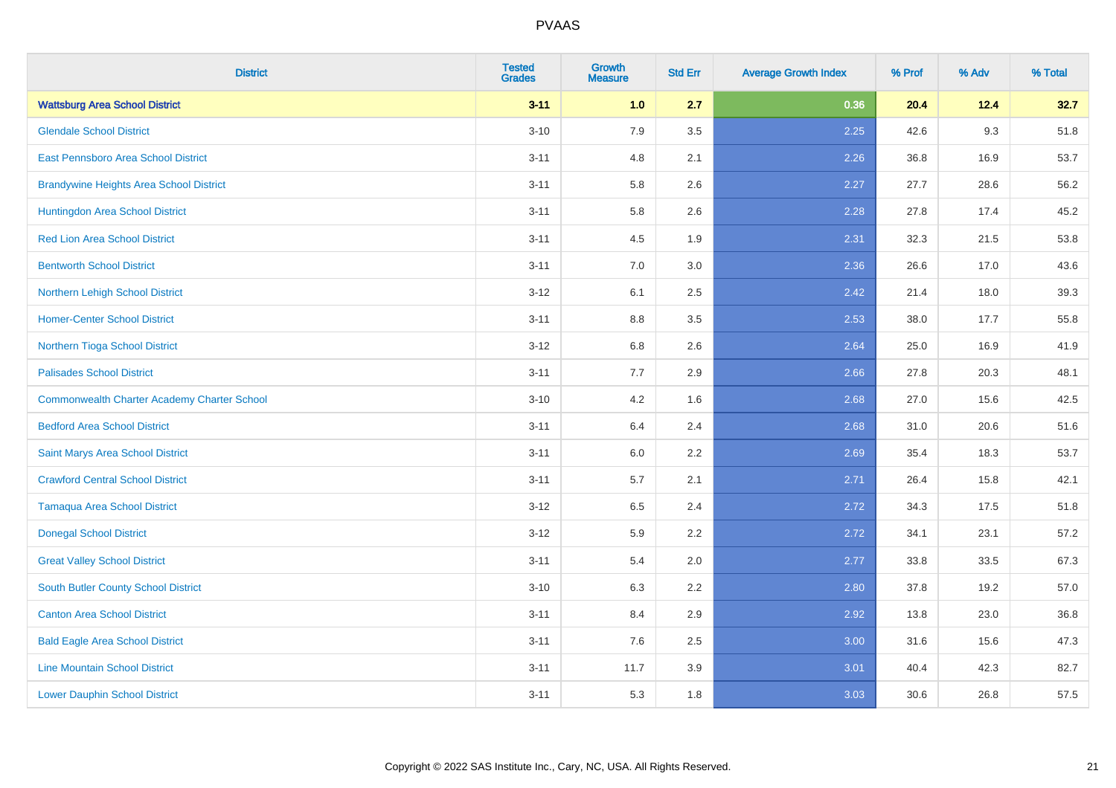| <b>District</b>                                    | <b>Tested</b><br><b>Grades</b> | <b>Growth</b><br><b>Measure</b> | <b>Std Err</b> | <b>Average Growth Index</b> | % Prof | % Adv | % Total |
|----------------------------------------------------|--------------------------------|---------------------------------|----------------|-----------------------------|--------|-------|---------|
| <b>Wattsburg Area School District</b>              | $3 - 11$                       | 1.0                             | 2.7            | 0.36                        | 20.4   | 12.4  | 32.7    |
| <b>Glendale School District</b>                    | $3 - 10$                       | 7.9                             | 3.5            | 2.25                        | 42.6   | 9.3   | 51.8    |
| East Pennsboro Area School District                | $3 - 11$                       | 4.8                             | 2.1            | 2.26                        | 36.8   | 16.9  | 53.7    |
| <b>Brandywine Heights Area School District</b>     | $3 - 11$                       | 5.8                             | 2.6            | 2.27                        | 27.7   | 28.6  | 56.2    |
| Huntingdon Area School District                    | $3 - 11$                       | 5.8                             | 2.6            | 2.28                        | 27.8   | 17.4  | 45.2    |
| <b>Red Lion Area School District</b>               | $3 - 11$                       | 4.5                             | 1.9            | 2.31                        | 32.3   | 21.5  | 53.8    |
| <b>Bentworth School District</b>                   | $3 - 11$                       | 7.0                             | 3.0            | 2.36                        | 26.6   | 17.0  | 43.6    |
| Northern Lehigh School District                    | $3 - 12$                       | 6.1                             | 2.5            | 2.42                        | 21.4   | 18.0  | 39.3    |
| <b>Homer-Center School District</b>                | $3 - 11$                       | 8.8                             | 3.5            | 2.53                        | 38.0   | 17.7  | 55.8    |
| Northern Tioga School District                     | $3-12$                         | 6.8                             | 2.6            | 2.64                        | 25.0   | 16.9  | 41.9    |
| <b>Palisades School District</b>                   | $3 - 11$                       | 7.7                             | 2.9            | 2.66                        | 27.8   | 20.3  | 48.1    |
| <b>Commonwealth Charter Academy Charter School</b> | $3 - 10$                       | 4.2                             | 1.6            | 2.68                        | 27.0   | 15.6  | 42.5    |
| <b>Bedford Area School District</b>                | $3 - 11$                       | $6.4\,$                         | 2.4            | 2.68                        | 31.0   | 20.6  | 51.6    |
| Saint Marys Area School District                   | $3 - 11$                       | 6.0                             | 2.2            | 2.69                        | 35.4   | 18.3  | 53.7    |
| <b>Crawford Central School District</b>            | $3 - 11$                       | 5.7                             | 2.1            | 2.71                        | 26.4   | 15.8  | 42.1    |
| <b>Tamaqua Area School District</b>                | $3 - 12$                       | 6.5                             | 2.4            | 2.72                        | 34.3   | 17.5  | 51.8    |
| <b>Donegal School District</b>                     | $3 - 12$                       | 5.9                             | 2.2            | 2.72                        | 34.1   | 23.1  | 57.2    |
| <b>Great Valley School District</b>                | $3 - 11$                       | 5.4                             | 2.0            | 2.77                        | 33.8   | 33.5  | 67.3    |
| <b>South Butler County School District</b>         | $3 - 10$                       | 6.3                             | 2.2            | 2.80                        | 37.8   | 19.2  | 57.0    |
| <b>Canton Area School District</b>                 | $3 - 11$                       | 8.4                             | 2.9            | 2.92                        | 13.8   | 23.0  | 36.8    |
| <b>Bald Eagle Area School District</b>             | $3 - 11$                       | 7.6                             | 2.5            | 3.00                        | 31.6   | 15.6  | 47.3    |
| <b>Line Mountain School District</b>               | $3 - 11$                       | 11.7                            | 3.9            | 3.01                        | 40.4   | 42.3  | 82.7    |
| <b>Lower Dauphin School District</b>               | $3 - 11$                       | 5.3                             | 1.8            | 3.03                        | 30.6   | 26.8  | 57.5    |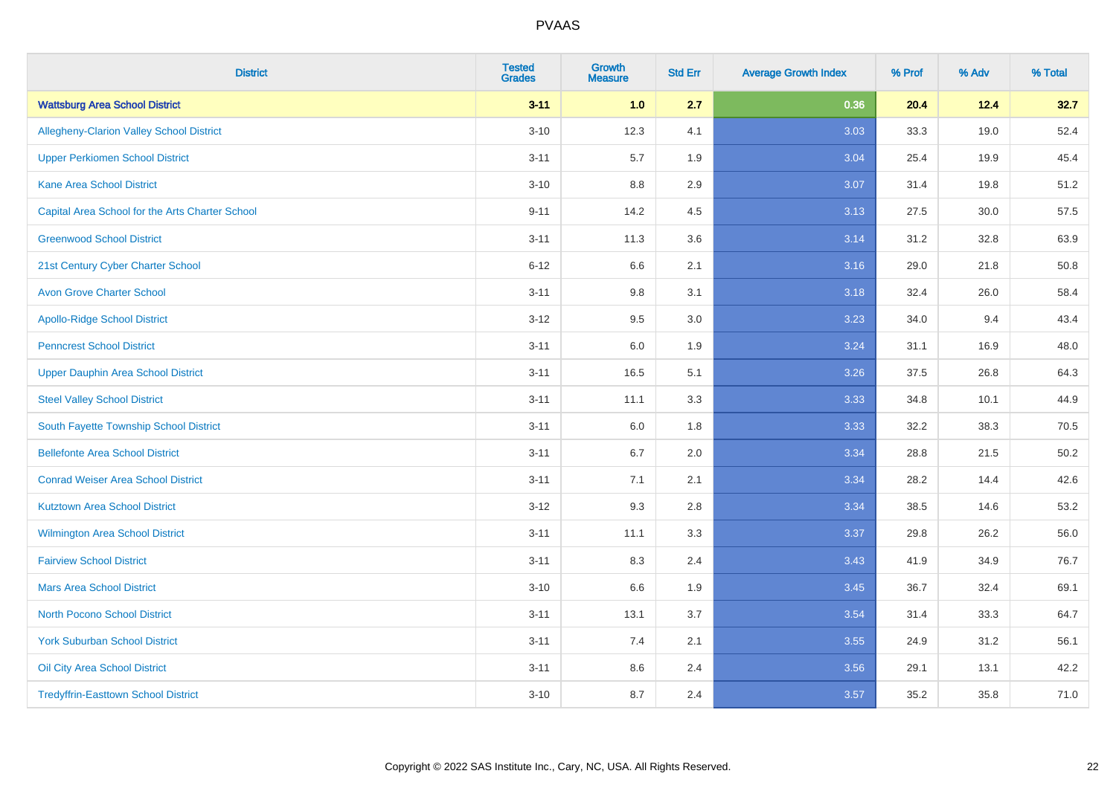| <b>District</b>                                 | <b>Tested</b><br><b>Grades</b> | <b>Growth</b><br><b>Measure</b> | <b>Std Err</b> | <b>Average Growth Index</b> | % Prof | % Adv | % Total |
|-------------------------------------------------|--------------------------------|---------------------------------|----------------|-----------------------------|--------|-------|---------|
| <b>Wattsburg Area School District</b>           | $3 - 11$                       | 1.0                             | 2.7            | 0.36                        | 20.4   | 12.4  | 32.7    |
| Allegheny-Clarion Valley School District        | $3 - 10$                       | 12.3                            | 4.1            | 3.03                        | 33.3   | 19.0  | 52.4    |
| <b>Upper Perkiomen School District</b>          | $3 - 11$                       | 5.7                             | 1.9            | 3.04                        | 25.4   | 19.9  | 45.4    |
| <b>Kane Area School District</b>                | $3 - 10$                       | 8.8                             | 2.9            | 3.07                        | 31.4   | 19.8  | 51.2    |
| Capital Area School for the Arts Charter School | $9 - 11$                       | 14.2                            | 4.5            | 3.13                        | 27.5   | 30.0  | 57.5    |
| <b>Greenwood School District</b>                | $3 - 11$                       | 11.3                            | 3.6            | 3.14                        | 31.2   | 32.8  | 63.9    |
| 21st Century Cyber Charter School               | $6 - 12$                       | 6.6                             | 2.1            | 3.16                        | 29.0   | 21.8  | 50.8    |
| <b>Avon Grove Charter School</b>                | $3 - 11$                       | $9.8\,$                         | 3.1            | 3.18                        | 32.4   | 26.0  | 58.4    |
| <b>Apollo-Ridge School District</b>             | $3 - 12$                       | 9.5                             | 3.0            | 3.23                        | 34.0   | 9.4   | 43.4    |
| <b>Penncrest School District</b>                | $3 - 11$                       | 6.0                             | 1.9            | 3.24                        | 31.1   | 16.9  | 48.0    |
| Upper Dauphin Area School District              | $3 - 11$                       | 16.5                            | 5.1            | 3.26                        | 37.5   | 26.8  | 64.3    |
| <b>Steel Valley School District</b>             | $3 - 11$                       | 11.1                            | 3.3            | 3.33                        | 34.8   | 10.1  | 44.9    |
| South Fayette Township School District          | $3 - 11$                       | 6.0                             | 1.8            | 3.33                        | 32.2   | 38.3  | 70.5    |
| <b>Bellefonte Area School District</b>          | $3 - 11$                       | 6.7                             | 2.0            | 3.34                        | 28.8   | 21.5  | 50.2    |
| <b>Conrad Weiser Area School District</b>       | $3 - 11$                       | 7.1                             | 2.1            | 3.34                        | 28.2   | 14.4  | 42.6    |
| <b>Kutztown Area School District</b>            | $3-12$                         | 9.3                             | 2.8            | 3.34                        | 38.5   | 14.6  | 53.2    |
| Wilmington Area School District                 | $3 - 11$                       | 11.1                            | 3.3            | 3.37                        | 29.8   | 26.2  | 56.0    |
| <b>Fairview School District</b>                 | $3 - 11$                       | 8.3                             | 2.4            | 3.43                        | 41.9   | 34.9  | 76.7    |
| <b>Mars Area School District</b>                | $3 - 10$                       | 6.6                             | 1.9            | 3.45                        | 36.7   | 32.4  | 69.1    |
| <b>North Pocono School District</b>             | $3 - 11$                       | 13.1                            | 3.7            | 3.54                        | 31.4   | 33.3  | 64.7    |
| <b>York Suburban School District</b>            | $3 - 11$                       | 7.4                             | 2.1            | 3.55                        | 24.9   | 31.2  | 56.1    |
| Oil City Area School District                   | $3 - 11$                       | $8.6\,$                         | 2.4            | 3.56                        | 29.1   | 13.1  | 42.2    |
| <b>Tredyffrin-Easttown School District</b>      | $3 - 10$                       | 8.7                             | 2.4            | 3.57                        | 35.2   | 35.8  | 71.0    |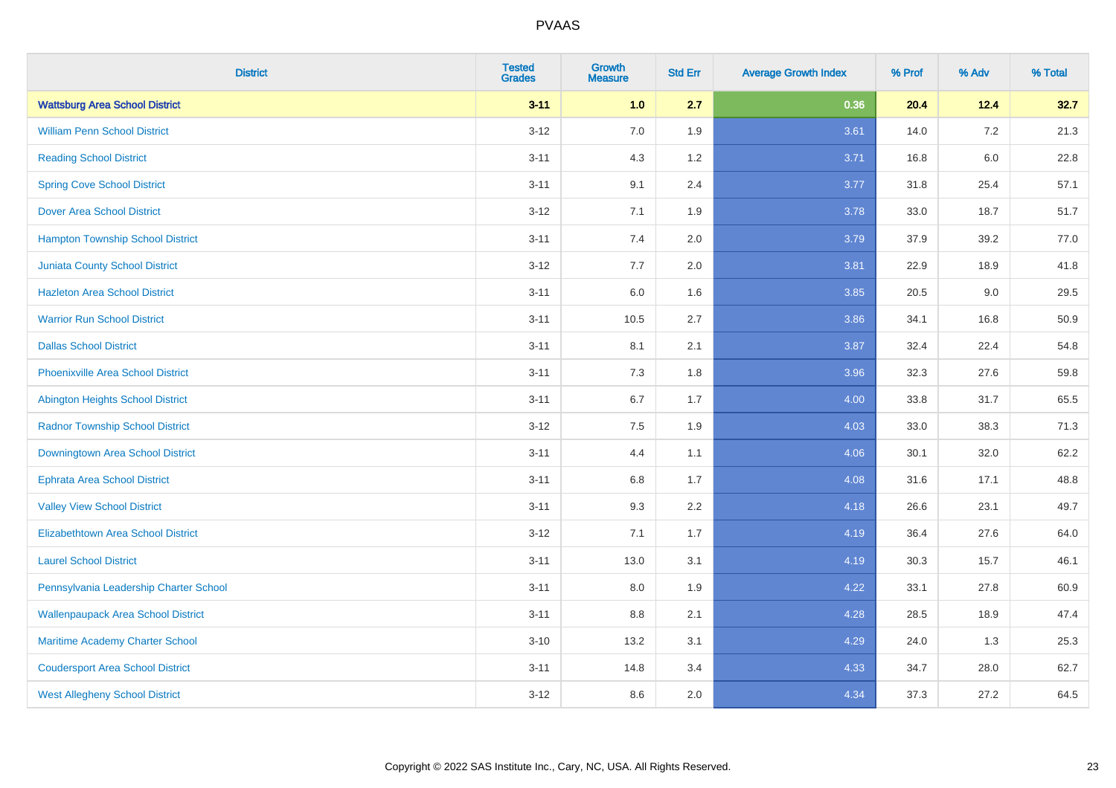| <b>District</b>                           | <b>Tested</b><br><b>Grades</b> | <b>Growth</b><br><b>Measure</b> | <b>Std Err</b> | <b>Average Growth Index</b> | % Prof | % Adv   | % Total |
|-------------------------------------------|--------------------------------|---------------------------------|----------------|-----------------------------|--------|---------|---------|
| <b>Wattsburg Area School District</b>     | $3 - 11$                       | 1.0                             | 2.7            | 0.36                        | 20.4   | 12.4    | 32.7    |
| <b>William Penn School District</b>       | $3 - 12$                       | 7.0                             | 1.9            | 3.61                        | 14.0   | $7.2\,$ | 21.3    |
| <b>Reading School District</b>            | $3 - 11$                       | 4.3                             | 1.2            | 3.71                        | 16.8   | $6.0\,$ | 22.8    |
| <b>Spring Cove School District</b>        | $3 - 11$                       | 9.1                             | 2.4            | 3.77                        | 31.8   | 25.4    | 57.1    |
| <b>Dover Area School District</b>         | $3 - 12$                       | 7.1                             | 1.9            | 3.78                        | 33.0   | 18.7    | 51.7    |
| <b>Hampton Township School District</b>   | $3 - 11$                       | 7.4                             | 2.0            | 3.79                        | 37.9   | 39.2    | 77.0    |
| <b>Juniata County School District</b>     | $3-12$                         | 7.7                             | 2.0            | 3.81                        | 22.9   | 18.9    | 41.8    |
| <b>Hazleton Area School District</b>      | $3 - 11$                       | 6.0                             | 1.6            | 3.85                        | 20.5   | 9.0     | 29.5    |
| <b>Warrior Run School District</b>        | $3 - 11$                       | 10.5                            | 2.7            | 3.86                        | 34.1   | 16.8    | 50.9    |
| <b>Dallas School District</b>             | $3 - 11$                       | 8.1                             | 2.1            | 3.87                        | 32.4   | 22.4    | 54.8    |
| <b>Phoenixville Area School District</b>  | $3 - 11$                       | 7.3                             | 1.8            | 3.96                        | 32.3   | 27.6    | 59.8    |
| Abington Heights School District          | $3 - 11$                       | 6.7                             | 1.7            | 4.00                        | 33.8   | 31.7    | 65.5    |
| <b>Radnor Township School District</b>    | $3 - 12$                       | $7.5\,$                         | 1.9            | 4.03                        | 33.0   | 38.3    | 71.3    |
| Downingtown Area School District          | $3 - 11$                       | 4.4                             | 1.1            | 4.06                        | 30.1   | 32.0    | 62.2    |
| <b>Ephrata Area School District</b>       | $3 - 11$                       | 6.8                             | 1.7            | 4.08                        | 31.6   | 17.1    | 48.8    |
| <b>Valley View School District</b>        | $3 - 11$                       | 9.3                             | 2.2            | 4.18                        | 26.6   | 23.1    | 49.7    |
| <b>Elizabethtown Area School District</b> | $3-12$                         | 7.1                             | 1.7            | 4.19                        | 36.4   | 27.6    | 64.0    |
| <b>Laurel School District</b>             | $3 - 11$                       | 13.0                            | 3.1            | 4.19                        | 30.3   | 15.7    | 46.1    |
| Pennsylvania Leadership Charter School    | $3 - 11$                       | 8.0                             | 1.9            | 4.22                        | 33.1   | 27.8    | 60.9    |
| <b>Wallenpaupack Area School District</b> | $3 - 11$                       | 8.8                             | 2.1            | 4.28                        | 28.5   | 18.9    | 47.4    |
| Maritime Academy Charter School           | $3 - 10$                       | 13.2                            | 3.1            | 4.29                        | 24.0   | 1.3     | 25.3    |
| <b>Coudersport Area School District</b>   | $3 - 11$                       | 14.8                            | 3.4            | 4.33                        | 34.7   | 28.0    | 62.7    |
| <b>West Allegheny School District</b>     | $3-12$                         | 8.6                             | 2.0            | 4.34                        | 37.3   | 27.2    | 64.5    |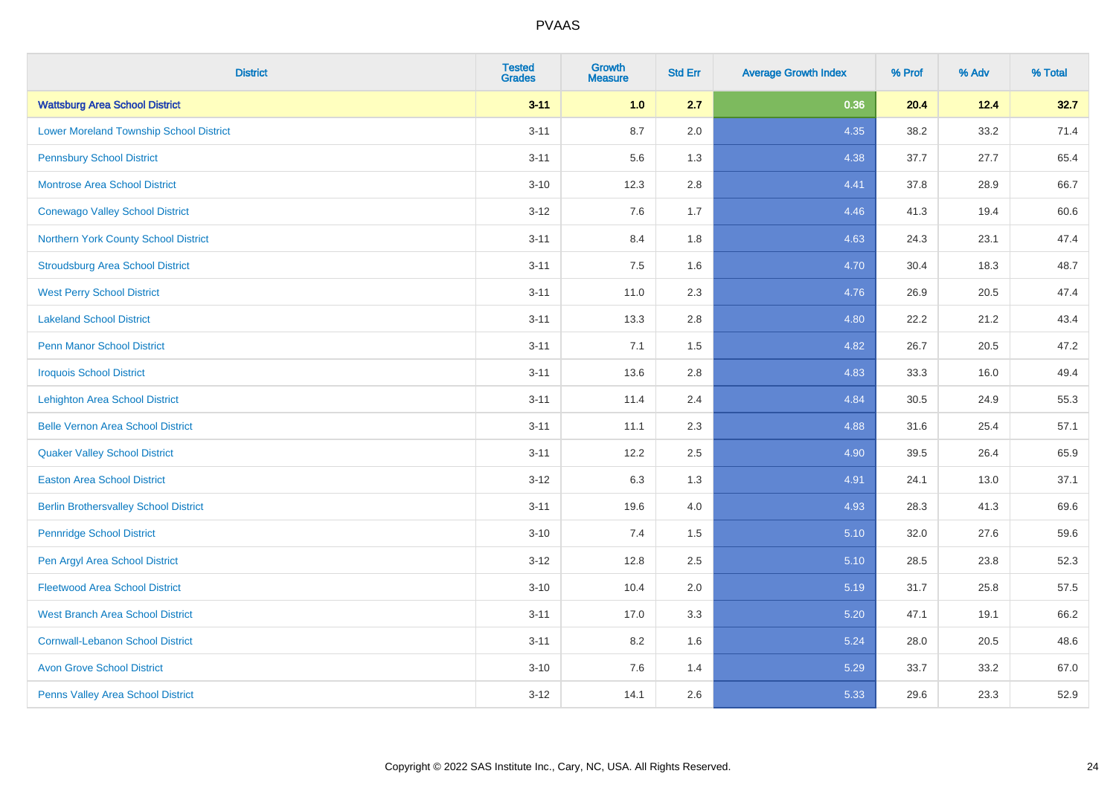| <b>District</b>                                | <b>Tested</b><br><b>Grades</b> | <b>Growth</b><br><b>Measure</b> | <b>Std Err</b> | <b>Average Growth Index</b> | % Prof | % Adv | % Total |
|------------------------------------------------|--------------------------------|---------------------------------|----------------|-----------------------------|--------|-------|---------|
| <b>Wattsburg Area School District</b>          | $3 - 11$                       | 1.0                             | 2.7            | 0.36                        | 20.4   | 12.4  | 32.7    |
| <b>Lower Moreland Township School District</b> | $3 - 11$                       | 8.7                             | 2.0            | 4.35                        | 38.2   | 33.2  | 71.4    |
| <b>Pennsbury School District</b>               | $3 - 11$                       | 5.6                             | 1.3            | 4.38                        | 37.7   | 27.7  | 65.4    |
| <b>Montrose Area School District</b>           | $3 - 10$                       | 12.3                            | 2.8            | 4.41                        | 37.8   | 28.9  | 66.7    |
| <b>Conewago Valley School District</b>         | $3 - 12$                       | 7.6                             | 1.7            | 4.46                        | 41.3   | 19.4  | 60.6    |
| Northern York County School District           | $3 - 11$                       | 8.4                             | 1.8            | 4.63                        | 24.3   | 23.1  | 47.4    |
| <b>Stroudsburg Area School District</b>        | $3 - 11$                       | 7.5                             | 1.6            | 4.70                        | 30.4   | 18.3  | 48.7    |
| <b>West Perry School District</b>              | $3 - 11$                       | 11.0                            | 2.3            | 4.76                        | 26.9   | 20.5  | 47.4    |
| <b>Lakeland School District</b>                | $3 - 11$                       | 13.3                            | 2.8            | 4.80                        | 22.2   | 21.2  | 43.4    |
| <b>Penn Manor School District</b>              | $3 - 11$                       | 7.1                             | 1.5            | 4.82                        | 26.7   | 20.5  | 47.2    |
| <b>Iroquois School District</b>                | $3 - 11$                       | 13.6                            | 2.8            | 4.83                        | 33.3   | 16.0  | 49.4    |
| <b>Lehighton Area School District</b>          | $3 - 11$                       | 11.4                            | 2.4            | 4.84                        | 30.5   | 24.9  | 55.3    |
| <b>Belle Vernon Area School District</b>       | $3 - 11$                       | 11.1                            | 2.3            | 4.88                        | 31.6   | 25.4  | 57.1    |
| <b>Quaker Valley School District</b>           | $3 - 11$                       | 12.2                            | 2.5            | 4.90                        | 39.5   | 26.4  | 65.9    |
| <b>Easton Area School District</b>             | $3 - 12$                       | 6.3                             | 1.3            | 4.91                        | 24.1   | 13.0  | 37.1    |
| <b>Berlin Brothersvalley School District</b>   | $3 - 11$                       | 19.6                            | 4.0            | 4.93                        | 28.3   | 41.3  | 69.6    |
| <b>Pennridge School District</b>               | $3 - 10$                       | 7.4                             | 1.5            | 5.10                        | 32.0   | 27.6  | 59.6    |
| Pen Argyl Area School District                 | $3 - 12$                       | 12.8                            | 2.5            | 5.10                        | 28.5   | 23.8  | 52.3    |
| <b>Fleetwood Area School District</b>          | $3 - 10$                       | 10.4                            | 2.0            | 5.19                        | 31.7   | 25.8  | 57.5    |
| <b>West Branch Area School District</b>        | $3 - 11$                       | 17.0                            | 3.3            | 5.20                        | 47.1   | 19.1  | 66.2    |
| <b>Cornwall-Lebanon School District</b>        | $3 - 11$                       | 8.2                             | 1.6            | 5.24                        | 28.0   | 20.5  | 48.6    |
| <b>Avon Grove School District</b>              | $3 - 10$                       | 7.6                             | 1.4            | 5.29                        | 33.7   | 33.2  | 67.0    |
| Penns Valley Area School District              | $3 - 12$                       | 14.1                            | 2.6            | 5.33                        | 29.6   | 23.3  | 52.9    |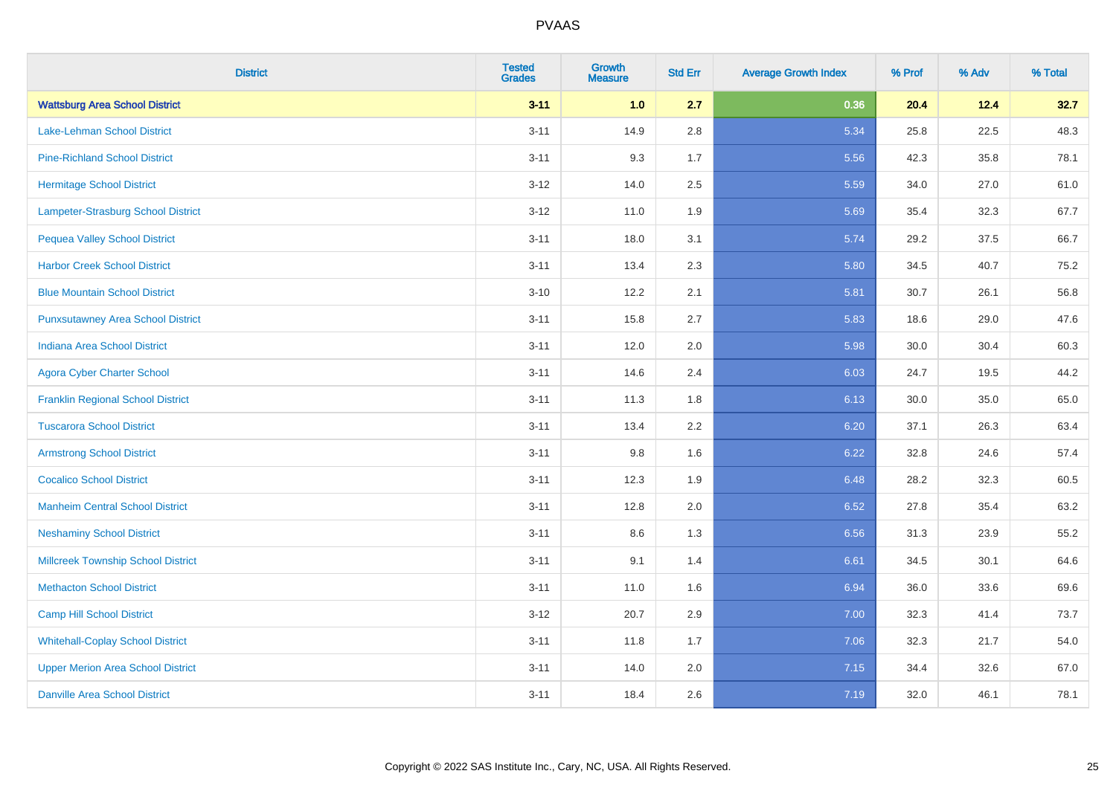| <b>District</b>                           | <b>Tested</b><br><b>Grades</b> | Growth<br><b>Measure</b> | <b>Std Err</b> | <b>Average Growth Index</b> | % Prof | % Adv | % Total |
|-------------------------------------------|--------------------------------|--------------------------|----------------|-----------------------------|--------|-------|---------|
| <b>Wattsburg Area School District</b>     | $3 - 11$                       | 1.0                      | 2.7            | 0.36                        | 20.4   | 12.4  | 32.7    |
| Lake-Lehman School District               | $3 - 11$                       | 14.9                     | 2.8            | 5.34                        | 25.8   | 22.5  | 48.3    |
| <b>Pine-Richland School District</b>      | $3 - 11$                       | 9.3                      | 1.7            | 5.56                        | 42.3   | 35.8  | 78.1    |
| <b>Hermitage School District</b>          | $3 - 12$                       | 14.0                     | 2.5            | 5.59                        | 34.0   | 27.0  | 61.0    |
| Lampeter-Strasburg School District        | $3-12$                         | 11.0                     | 1.9            | 5.69                        | 35.4   | 32.3  | 67.7    |
| <b>Pequea Valley School District</b>      | $3 - 11$                       | 18.0                     | 3.1            | 5.74                        | 29.2   | 37.5  | 66.7    |
| <b>Harbor Creek School District</b>       | $3 - 11$                       | 13.4                     | 2.3            | 5.80                        | 34.5   | 40.7  | 75.2    |
| <b>Blue Mountain School District</b>      | $3 - 10$                       | 12.2                     | 2.1            | 5.81                        | 30.7   | 26.1  | 56.8    |
| <b>Punxsutawney Area School District</b>  | $3 - 11$                       | 15.8                     | 2.7            | 5.83                        | 18.6   | 29.0  | 47.6    |
| <b>Indiana Area School District</b>       | $3 - 11$                       | 12.0                     | 2.0            | 5.98                        | 30.0   | 30.4  | 60.3    |
| <b>Agora Cyber Charter School</b>         | $3 - 11$                       | 14.6                     | 2.4            | 6.03                        | 24.7   | 19.5  | 44.2    |
| <b>Franklin Regional School District</b>  | $3 - 11$                       | 11.3                     | 1.8            | 6.13                        | 30.0   | 35.0  | 65.0    |
| <b>Tuscarora School District</b>          | $3 - 11$                       | 13.4                     | 2.2            | 6.20                        | 37.1   | 26.3  | 63.4    |
| <b>Armstrong School District</b>          | $3 - 11$                       | 9.8                      | 1.6            | 6.22                        | 32.8   | 24.6  | 57.4    |
| <b>Cocalico School District</b>           | $3 - 11$                       | 12.3                     | 1.9            | 6.48                        | 28.2   | 32.3  | 60.5    |
| <b>Manheim Central School District</b>    | $3 - 11$                       | 12.8                     | 2.0            | 6.52                        | 27.8   | 35.4  | 63.2    |
| <b>Neshaminy School District</b>          | $3 - 11$                       | 8.6                      | 1.3            | 6.56                        | 31.3   | 23.9  | 55.2    |
| <b>Millcreek Township School District</b> | $3 - 11$                       | 9.1                      | 1.4            | 6.61                        | 34.5   | 30.1  | 64.6    |
| <b>Methacton School District</b>          | $3 - 11$                       | 11.0                     | 1.6            | 6.94                        | 36.0   | 33.6  | 69.6    |
| <b>Camp Hill School District</b>          | $3 - 12$                       | 20.7                     | 2.9            | 7.00                        | 32.3   | 41.4  | 73.7    |
| <b>Whitehall-Coplay School District</b>   | $3 - 11$                       | 11.8                     | 1.7            | 7.06                        | 32.3   | 21.7  | 54.0    |
| <b>Upper Merion Area School District</b>  | $3 - 11$                       | 14.0                     | 2.0            | 7.15                        | 34.4   | 32.6  | 67.0    |
| <b>Danville Area School District</b>      | $3 - 11$                       | 18.4                     | 2.6            | 7.19                        | 32.0   | 46.1  | 78.1    |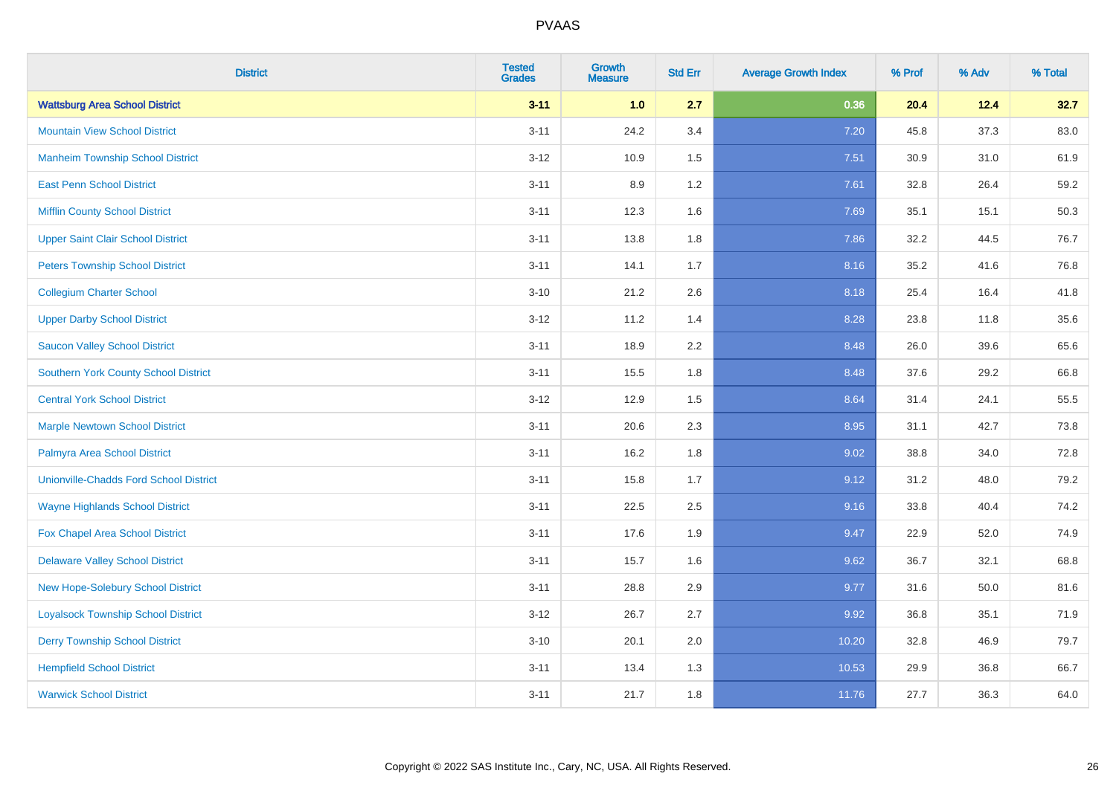| <b>District</b>                               | <b>Tested</b><br><b>Grades</b> | <b>Growth</b><br><b>Measure</b> | <b>Std Err</b> | <b>Average Growth Index</b> | % Prof | % Adv | % Total |
|-----------------------------------------------|--------------------------------|---------------------------------|----------------|-----------------------------|--------|-------|---------|
| <b>Wattsburg Area School District</b>         | $3 - 11$                       | 1.0                             | 2.7            | 0.36                        | 20.4   | 12.4  | 32.7    |
| <b>Mountain View School District</b>          | $3 - 11$                       | 24.2                            | 3.4            | 7.20                        | 45.8   | 37.3  | 83.0    |
| <b>Manheim Township School District</b>       | $3 - 12$                       | 10.9                            | 1.5            | 7.51                        | 30.9   | 31.0  | 61.9    |
| <b>East Penn School District</b>              | $3 - 11$                       | 8.9                             | 1.2            | 7.61                        | 32.8   | 26.4  | 59.2    |
| <b>Mifflin County School District</b>         | $3 - 11$                       | 12.3                            | 1.6            | 7.69                        | 35.1   | 15.1  | 50.3    |
| <b>Upper Saint Clair School District</b>      | $3 - 11$                       | 13.8                            | 1.8            | 7.86                        | 32.2   | 44.5  | 76.7    |
| <b>Peters Township School District</b>        | $3 - 11$                       | 14.1                            | 1.7            | 8.16                        | 35.2   | 41.6  | 76.8    |
| <b>Collegium Charter School</b>               | $3 - 10$                       | 21.2                            | 2.6            | 8.18                        | 25.4   | 16.4  | 41.8    |
| <b>Upper Darby School District</b>            | $3 - 12$                       | 11.2                            | 1.4            | 8.28                        | 23.8   | 11.8  | 35.6    |
| <b>Saucon Valley School District</b>          | $3 - 11$                       | 18.9                            | 2.2            | 8.48                        | 26.0   | 39.6  | 65.6    |
| <b>Southern York County School District</b>   | $3 - 11$                       | 15.5                            | 1.8            | 8.48                        | 37.6   | 29.2  | 66.8    |
| <b>Central York School District</b>           | $3 - 12$                       | 12.9                            | 1.5            | 8.64                        | 31.4   | 24.1  | 55.5    |
| <b>Marple Newtown School District</b>         | $3 - 11$                       | 20.6                            | 2.3            | 8.95                        | 31.1   | 42.7  | 73.8    |
| Palmyra Area School District                  | $3 - 11$                       | 16.2                            | 1.8            | 9.02                        | 38.8   | 34.0  | 72.8    |
| <b>Unionville-Chadds Ford School District</b> | $3 - 11$                       | 15.8                            | 1.7            | 9.12                        | 31.2   | 48.0  | 79.2    |
| <b>Wayne Highlands School District</b>        | $3 - 11$                       | 22.5                            | 2.5            | 9.16                        | 33.8   | 40.4  | 74.2    |
| Fox Chapel Area School District               | $3 - 11$                       | 17.6                            | 1.9            | 9.47                        | 22.9   | 52.0  | 74.9    |
| <b>Delaware Valley School District</b>        | $3 - 11$                       | 15.7                            | 1.6            | 9.62                        | 36.7   | 32.1  | 68.8    |
| <b>New Hope-Solebury School District</b>      | $3 - 11$                       | 28.8                            | 2.9            | 9.77                        | 31.6   | 50.0  | 81.6    |
| <b>Loyalsock Township School District</b>     | $3-12$                         | 26.7                            | 2.7            | 9.92                        | 36.8   | 35.1  | 71.9    |
| <b>Derry Township School District</b>         | $3 - 10$                       | 20.1                            | 2.0            | 10.20                       | 32.8   | 46.9  | 79.7    |
| <b>Hempfield School District</b>              | $3 - 11$                       | 13.4                            | 1.3            | 10.53                       | 29.9   | 36.8  | 66.7    |
| <b>Warwick School District</b>                | $3 - 11$                       | 21.7                            | 1.8            | 11.76                       | 27.7   | 36.3  | 64.0    |